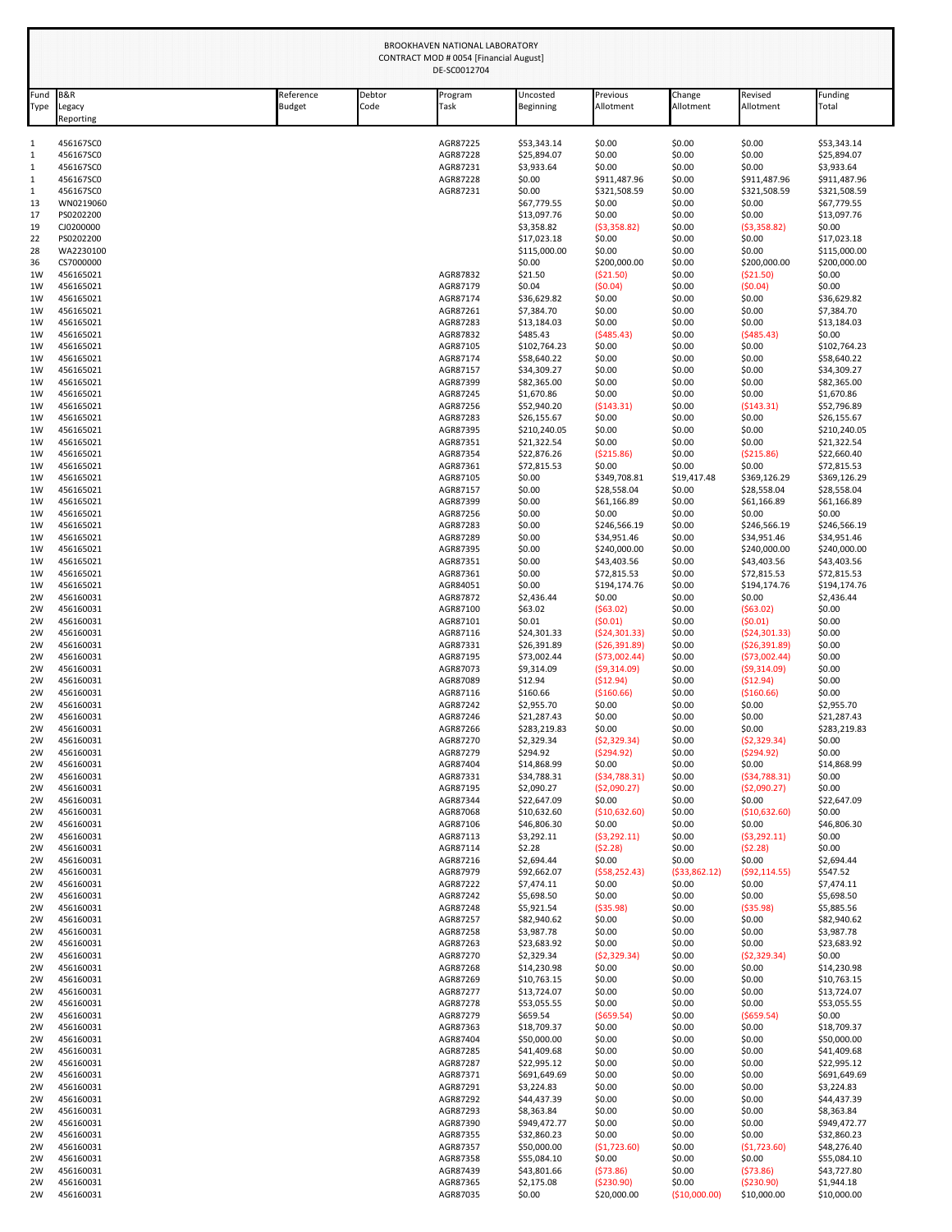| Fund        | <b>B&amp;R</b>         | Reference     | Debtor | Program              | Uncosted                    | Previous                    | Change                | Revised                 | Funding                     |
|-------------|------------------------|---------------|--------|----------------------|-----------------------------|-----------------------------|-----------------------|-------------------------|-----------------------------|
| <b>Type</b> | Legacy<br>Reporting    | <b>Budget</b> | Code   | Task                 | <b>Beginning</b>            | Allotment                   | Allotment             | Allotment               | Total                       |
|             | 456167SC0              |               |        | AGR87225             | \$53,343.14                 | \$0.00                      | \$0.00                | \$0.00                  | \$53,343.14                 |
|             | 456167SC0              |               |        | AGR87228             | \$25,894.07                 | \$0.00                      | \$0.00                | \$0.00                  | \$25,894.07                 |
|             | 456167SC0              |               |        | AGR87231             | \$3,933.64                  | \$0.00                      | \$0.00                | \$0.00                  | \$3,933.64                  |
|             | 456167SC0              |               |        | AGR87228             | \$0.00                      | \$911,487.96                | \$0.00                | \$911,487.96            | \$911,487.96                |
|             | 456167SC0              |               |        | AGR87231             | \$0.00                      | \$321,508.59                | \$0.00                | \$321,508.59            | \$321,508.59                |
|             | WN0219060              |               |        |                      | \$67,779.55                 | \$0.00                      | \$0.00                | \$0.00                  | \$67,779.55                 |
|             | PS0202200              |               |        |                      | \$13,097.76                 | \$0.00                      | \$0.00                | \$0.00                  | \$13,097.76<br>\$0.00       |
|             | CJ0200000<br>PS0202200 |               |        |                      | \$3,358.82<br>\$17,023.18   | ( \$3,358.82)<br>\$0.00     | \$0.00<br>\$0.00      | (53,358.82)<br>\$0.00   | \$17,023.18                 |
|             | WA2230100              |               |        |                      | \$115,000.00                | \$0.00                      | \$0.00                | \$0.00                  | \$115,000.00                |
|             | CS7000000              |               |        |                      | \$0.00                      | \$200,000.00                | \$0.00                | \$200,000.00            | \$200,000.00                |
|             | 456165021              |               |        | AGR87832             | \$21.50                     | (\$21.50)                   | \$0.00                | ( \$21.50)              | \$0.00                      |
| 1W          | 456165021              |               |        | AGR87179             | \$0.04                      | (50.04)                     | \$0.00                | (50.04)                 | \$0.00                      |
|             | 456165021              |               |        | AGR87174             | \$36,629.82                 | \$0.00                      | \$0.00                | \$0.00                  | \$36,629.82                 |
|             | 456165021              |               |        | AGR87261             | \$7,384.70                  | \$0.00                      | \$0.00                | \$0.00                  | \$7,384.70                  |
|             | 456165021              |               |        | AGR87283             | \$13,184.03                 | \$0.00                      | \$0.00                | \$0.00                  | \$13,184.03                 |
|             | 456165021              |               |        | AGR87832             | \$485.43                    | (5485.43)                   | \$0.00                | (5485.43)               | \$0.00                      |
|             | 456165021<br>456165021 |               |        | AGR87105<br>AGR87174 | \$102,764.23<br>\$58,640.22 | \$0.00<br>\$0.00            | \$0.00<br>\$0.00      | \$0.00<br>\$0.00        | \$102,764.23<br>\$58,640.22 |
|             | 456165021              |               |        | AGR87157             | \$34,309.27                 | \$0.00                      | \$0.00                | \$0.00                  | \$34,309.27                 |
|             | 456165021              |               |        | AGR87399             | \$82,365.00                 | \$0.00                      | \$0.00                | \$0.00                  | \$82,365.00                 |
|             | 456165021              |               |        | AGR87245             | \$1,670.86                  | \$0.00                      | \$0.00                | \$0.00                  | \$1,670.86                  |
|             | 456165021              |               |        | AGR87256             | \$52,940.20                 | (5143.31)                   | \$0.00                | ( \$143.31)             | \$52,796.89                 |
|             | 456165021              |               |        | AGR87283             | \$26,155.67                 | \$0.00                      | \$0.00                | \$0.00                  | \$26,155.67                 |
|             | 456165021              |               |        | AGR87395             | \$210,240.05                | \$0.00                      | \$0.00                | \$0.00                  | \$210,240.05                |
|             | 456165021              |               |        | AGR87351             | \$21,322.54                 | \$0.00                      | \$0.00                | \$0.00                  | \$21,322.54                 |
|             | 456165021              |               |        | AGR87354             | \$22,876.26                 | ( \$215.86)                 | \$0.00                | ( \$215.86)             | \$22,660.40                 |
|             | 456165021<br>456165021 |               |        | AGR87361<br>AGR87105 | \$72,815.53<br>\$0.00       | \$0.00                      | \$0.00<br>\$19,417.48 | \$0.00<br>\$369,126.29  | \$72,815.53<br>\$369,126.29 |
|             | 456165021              |               |        | AGR87157             | \$0.00                      | \$349,708.81<br>\$28,558.04 | \$0.00                | \$28,558.04             | \$28,558.04                 |
|             | 456165021              |               |        | AGR87399             | \$0.00                      | \$61,166.89                 | \$0.00                | \$61,166.89             | \$61,166.89                 |
|             | 456165021              |               |        | AGR87256             | \$0.00                      | \$0.00                      | \$0.00                | \$0.00                  | \$0.00                      |
|             | 456165021              |               |        | AGR87283             | \$0.00                      | \$246,566.19                | \$0.00                | \$246,566.19            | \$246,566.19                |
|             | 456165021              |               |        | AGR87289             | \$0.00                      | \$34,951.46                 | \$0.00                | \$34,951.46             | \$34,951.46                 |
|             | 456165021              |               |        | AGR87395             | \$0.00                      | \$240,000.00                | \$0.00                | \$240,000.00            | \$240,000.00                |
|             | 456165021              |               |        | AGR87351             | \$0.00                      | \$43,403.56                 | \$0.00                | \$43,403.56             | \$43,403.56                 |
|             | 456165021              |               |        | AGR87361             | \$0.00                      | \$72,815.53                 | \$0.00                | \$72,815.53             | \$72,815.53                 |
|             | 456165021              |               |        | AGR84051             | \$0.00                      | \$194,174.76                | \$0.00                | \$194,174.76            | \$194,174.76                |
|             | 456160031<br>456160031 |               |        | AGR87872<br>AGR87100 | \$2,436.44<br>\$63.02       | \$0.00<br>(563.02)          | \$0.00<br>\$0.00      | \$0.00<br>(563.02)      | \$2,436.44<br>\$0.00        |
|             | 456160031              |               |        | AGR87101             | \$0.01                      | (50.01)                     | \$0.00                | (50.01)                 | \$0.00                      |
|             | 456160031              |               |        | AGR87116             | \$24,301.33                 | (524, 301.33)               | \$0.00                | ( \$24, 301.33)         | \$0.00                      |
|             | 456160031              |               |        | AGR87331             | \$26,391.89                 | ( \$26, 391.89)             | \$0.00                | (526, 391.89)           | \$0.00                      |
|             | 456160031              |               |        | AGR87195             | \$73,002.44                 | (573,002.44)                | \$0.00                | (573,002.44)            | \$0.00                      |
|             | 456160031              |               |        | AGR87073             | \$9,314.09                  | (59,314.09)                 | \$0.00                | (59,314.09)             | \$0.00                      |
|             | 456160031              |               |        | AGR87089             | \$12.94                     | (\$12.94)                   | \$0.00                | ( \$12.94)              | \$0.00                      |
|             | 456160031              |               |        | AGR87116             | \$160.66                    | ( \$160.66)                 | \$0.00                | ( \$160.66)             | \$0.00                      |
|             | 456160031              |               |        | AGR87242             | \$2,955.70                  | \$0.00                      | \$0.00                | \$0.00                  | \$2,955.70                  |
|             | 456160031<br>456160031 |               |        | AGR87246<br>AGR87266 | \$21,287.43<br>\$283,219.83 | \$0.00<br>\$0.00            | \$0.00<br>\$0.00      | \$0.00<br>\$0.00        | \$21,287.43<br>\$283,219.83 |
|             | 456160031              |               |        | AGR87270             | \$2,329.34                  | (52, 329.34)                | \$0.00                | (52, 329.34)            | \$0.00                      |
|             | 456160031              |               |        | AGR87279             | \$294.92                    | (5294.92)                   | \$0.00                | (5294.92)               | \$0.00                      |
|             | 456160031              |               |        | AGR87404             | \$14,868.99                 | \$0.00                      | \$0.00                | \$0.00                  | \$14,868.99                 |
|             | 456160031              |               |        | AGR87331             | \$34,788.31                 | ( \$34,788.31)              | \$0.00                | ( \$34, 788.31)         | \$0.00                      |
|             | 456160031              |               |        | AGR87195             | \$2,090.27                  | (52,090.27)                 | \$0.00                | (52,090.27)             | \$0.00                      |
|             | 456160031              |               |        | AGR87344             | \$22,647.09                 | \$0.00                      | \$0.00                | \$0.00                  | \$22,647.09                 |
|             | 456160031              |               |        | AGR87068             | \$10,632.60                 | (\$10,632.60)               | \$0.00                | (\$10,632.60)           | \$0.00                      |
|             | 456160031              |               |        | AGR87106             | \$46,806.30                 | \$0.00                      | \$0.00                | \$0.00                  | \$46,806.30                 |
|             | 456160031<br>456160031 |               |        | AGR87113<br>AGR87114 | \$3,292.11<br>\$2.28        | ( \$3,292.11)<br>(52.28)    | \$0.00<br>\$0.00      | (53, 292.11)<br>(52.28) | \$0.00<br>\$0.00            |
|             | 456160031              |               |        | AGR87216             | \$2,694.44                  | \$0.00                      | \$0.00                | \$0.00                  | \$2,694.44                  |
|             | 456160031              |               |        | AGR87979             | \$92,662.07                 | (558, 252.43)               | ( \$33, 862.12)       | (592, 114.55)           | \$547.52                    |
|             | 456160031              |               |        | AGR87222             | \$7,474.11                  | \$0.00                      | \$0.00                | \$0.00                  | \$7,474.11                  |
|             | 456160031              |               |        | AGR87242             | \$5,698.50                  | \$0.00                      | \$0.00                | \$0.00                  | \$5,698.50                  |
|             | 456160031              |               |        | AGR87248             | \$5,921.54                  | ( \$35.98)                  | \$0.00                | ( \$35.98)              | \$5,885.56                  |
|             | 456160031              |               |        | AGR87257             | \$82,940.62                 | \$0.00                      | \$0.00                | \$0.00                  | \$82,940.62                 |
|             | 456160031              |               |        | AGR87258             | \$3,987.78                  | \$0.00                      | \$0.00                | \$0.00                  | \$3,987.78                  |
|             | 456160031<br>456160031 |               |        | AGR87263<br>AGR87270 | \$23,683.92<br>\$2,329.34   | \$0.00<br>(52, 329.34)      | \$0.00<br>\$0.00      | \$0.00<br>(52, 329.34)  | \$23,683.92<br>\$0.00       |
|             | 456160031              |               |        | AGR87268             | \$14,230.98                 | \$0.00                      | \$0.00                | \$0.00                  | \$14,230.98                 |
|             | 456160031              |               |        | AGR87269             | \$10,763.15                 | \$0.00                      | \$0.00                | \$0.00                  | \$10,763.15                 |
|             | 456160031              |               |        | AGR87277             | \$13,724.07                 | \$0.00                      | \$0.00                | \$0.00                  | \$13,724.07                 |
|             | 456160031              |               |        | AGR87278             | \$53,055.55                 | \$0.00                      | \$0.00                | \$0.00                  | \$53,055.55                 |
|             | 456160031              |               |        | AGR87279             | \$659.54                    | ( \$659.54)                 | \$0.00                | ( \$659.54)             | \$0.00                      |
|             | 456160031              |               |        | AGR87363             | \$18,709.37                 | \$0.00                      | \$0.00                | \$0.00                  | \$18,709.37                 |
|             | 456160031              |               |        | AGR87404             | \$50,000.00                 | \$0.00                      | \$0.00                | \$0.00                  | \$50,000.00                 |
|             | 456160031              |               |        | AGR87285             | \$41,409.68                 | \$0.00                      | \$0.00                | \$0.00                  | \$41,409.68                 |
|             | 456160031              |               |        | AGR87287             | \$22,995.12                 | \$0.00                      | \$0.00                | \$0.00                  | \$22,995.12                 |
|             | 456160031              |               |        | AGR87371             | \$691,649.69                | \$0.00                      | \$0.00                | \$0.00                  | \$691,649.69                |
|             | 456160031              |               |        | AGR87291             | \$3,224.83<br>\$44,437.39   | \$0.00<br>\$0.00            | \$0.00<br>\$0.00      | \$0.00<br>\$0.00        | \$3,224.83<br>\$44,437.39   |
|             | 456160031<br>456160031 |               |        | AGR87292<br>AGR87293 | \$8,363.84                  | \$0.00                      | \$0.00                | \$0.00                  | \$8,363.84                  |
|             | 456160031              |               |        | AGR87390             | \$949,472.77                | \$0.00                      | \$0.00                | \$0.00                  | \$949,472.77                |
|             | 456160031              |               |        | AGR87355             | \$32,860.23                 | \$0.00                      | \$0.00                | \$0.00                  | \$32,860.23                 |
|             | 456160031              |               |        | AGR87357             | \$50,000.00                 | (51, 723.60)                | \$0.00                | (\$1,723.60)            | \$48,276.40                 |
|             |                        |               |        |                      |                             |                             |                       |                         |                             |
|             | 456160031              |               |        | AGR87358             | \$55,084.10                 | \$0.00                      | \$0.00                | \$0.00                  |                             |
|             | 456160031              |               |        | AGR87439             | \$43,801.66                 | (573.86)<br>( \$230.90)     | \$0.00                | (573.86)                | \$55,084.10<br>\$43,727.80  |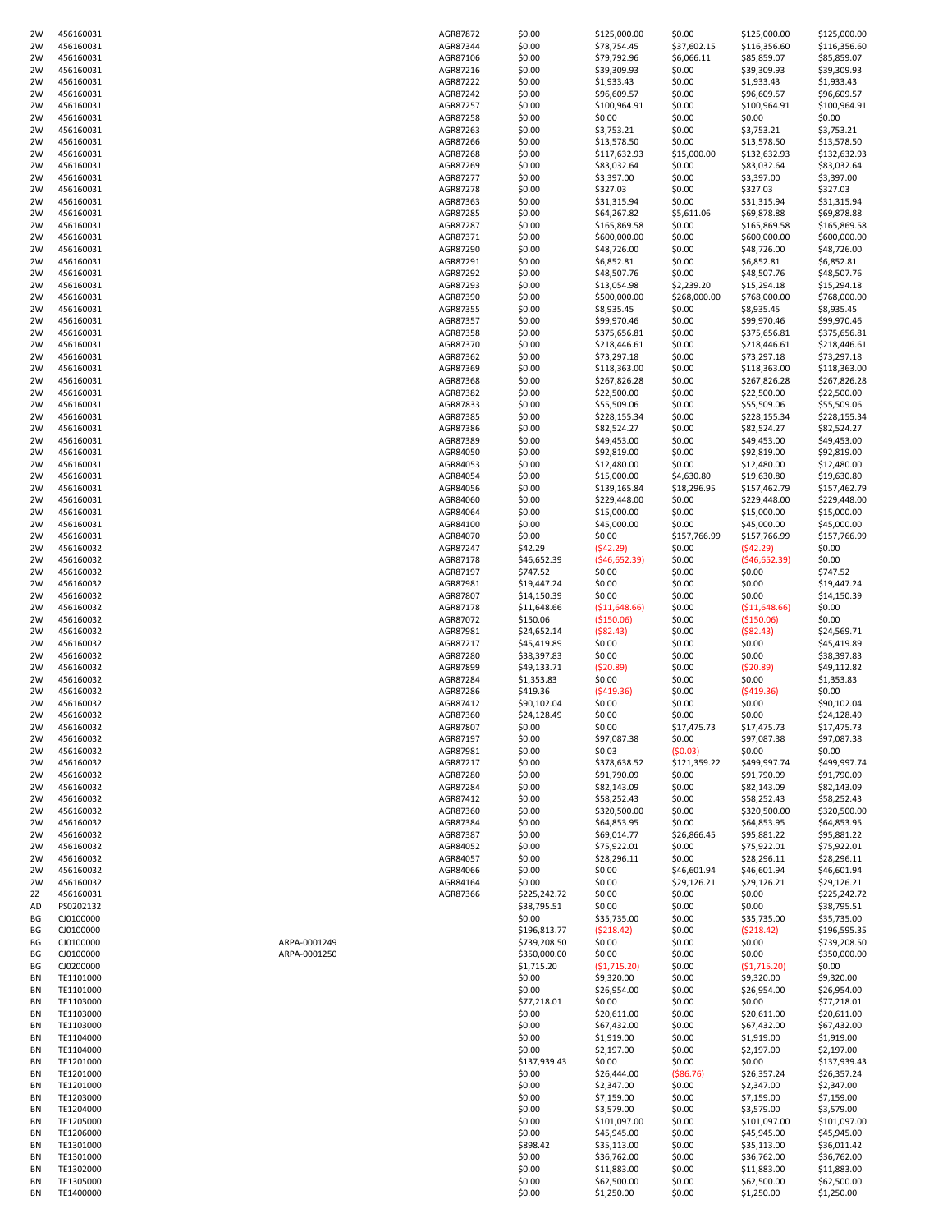| 2W | 456160031 |              | AGR87872 | \$0.00       | \$125,000.00  | \$0.00           | \$125,000.00   | \$125,000.00 |
|----|-----------|--------------|----------|--------------|---------------|------------------|----------------|--------------|
| 2W | 456160031 |              | AGR87344 | \$0.00       | \$78,754.45   | \$37,602.15      | \$116,356.60   | \$116,356.60 |
| 2W | 456160031 |              | AGR87106 | \$0.00       | \$79,792.96   | \$6,066.11       | \$85,859.07    | \$85,859.07  |
| 2W | 456160031 |              | AGR87216 | \$0.00       | \$39,309.93   | \$0.00           | \$39,309.93    | \$39,309.93  |
|    |           |              |          |              |               |                  |                |              |
| 2W | 456160031 |              | AGR87222 | \$0.00       | \$1,933.43    | \$0.00           | \$1,933.43     | \$1,933.43   |
| 2W | 456160031 |              | AGR87242 | \$0.00       | \$96,609.57   | \$0.00           | \$96,609.57    | \$96,609.57  |
| 2W | 456160031 |              | AGR87257 | \$0.00       | \$100,964.91  | \$0.00           | \$100,964.91   | \$100,964.91 |
| 2W | 456160031 |              | AGR87258 | \$0.00       | \$0.00        | \$0.00           | \$0.00         | \$0.00       |
| 2W | 456160031 |              | AGR87263 | \$0.00       | \$3,753.21    | \$0.00           | \$3,753.21     | \$3,753.21   |
| 2W | 456160031 |              | AGR87266 | \$0.00       | \$13,578.50   | \$0.00           | \$13,578.50    | \$13,578.50  |
| 2W | 456160031 |              | AGR87268 | \$0.00       | \$117,632.93  | \$15,000.00      | \$132,632.93   | \$132,632.93 |
| 2W | 456160031 |              | AGR87269 | \$0.00       | \$83,032.64   | \$0.00           | \$83,032.64    | \$83,032.64  |
|    |           |              |          |              |               |                  |                |              |
| 2W | 456160031 |              | AGR87277 | \$0.00       | \$3,397.00    | \$0.00           | \$3,397.00     | \$3,397.00   |
| 2W | 456160031 |              | AGR87278 | \$0.00       | \$327.03      | \$0.00           | \$327.03       | \$327.03     |
| 2W | 456160031 |              | AGR87363 | \$0.00       | \$31,315.94   | \$0.00           | \$31,315.94    | \$31,315.94  |
| 2W | 456160031 |              | AGR87285 | \$0.00       | \$64,267.82   | \$5,611.06       | \$69,878.88    | \$69,878.88  |
| 2W | 456160031 |              | AGR87287 | \$0.00       | \$165,869.58  | \$0.00           | \$165,869.58   | \$165,869.58 |
| 2W | 456160031 |              | AGR87371 | \$0.00       | \$600,000.00  | \$0.00           | \$600,000.00   | \$600,000.00 |
| 2W | 456160031 |              | AGR87290 | \$0.00       | \$48,726.00   | \$0.00           | \$48,726.00    | \$48,726.00  |
| 2W | 456160031 |              | AGR87291 | \$0.00       | \$6,852.81    | \$0.00           | \$6,852.81     | \$6,852.81   |
| 2W | 456160031 |              | AGR87292 | \$0.00       | \$48,507.76   | \$0.00           | \$48,507.76    | \$48,507.76  |
| 2W | 456160031 |              | AGR87293 | \$0.00       | \$13,054.98   | \$2,239.20       | \$15,294.18    | \$15,294.18  |
|    |           |              |          |              | \$500,000.00  |                  |                |              |
| 2W | 456160031 |              | AGR87390 | \$0.00       |               | \$268,000.00     | \$768,000.00   | \$768,000.00 |
| 2W | 456160031 |              | AGR87355 | \$0.00       | \$8,935.45    | \$0.00           | \$8,935.45     | \$8,935.45   |
| 2W | 456160031 |              | AGR87357 | \$0.00       | \$99,970.46   | \$0.00           | \$99,970.46    | \$99,970.46  |
| 2W | 456160031 |              | AGR87358 | \$0.00       | \$375,656.81  | \$0.00           | \$375,656.81   | \$375,656.81 |
| 2W | 456160031 |              | AGR87370 | \$0.00       | \$218,446.61  | \$0.00           | \$218,446.61   | \$218,446.61 |
| 2W | 456160031 |              | AGR87362 | \$0.00       | \$73,297.18   | \$0.00           | \$73,297.18    | \$73,297.18  |
| 2W | 456160031 |              | AGR87369 | \$0.00       | \$118,363.00  | \$0.00           | \$118,363.00   | \$118,363.00 |
| 2W | 456160031 |              | AGR87368 | \$0.00       | \$267,826.28  | \$0.00           | \$267,826.28   | \$267,826.28 |
| 2W | 456160031 |              | AGR87382 | \$0.00       | \$22,500.00   | \$0.00           | \$22,500.00    | \$22,500.00  |
| 2W | 456160031 |              | AGR87833 | \$0.00       | \$55,509.06   | \$0.00           | \$55,509.06    | \$55,509.06  |
|    | 456160031 |              | AGR87385 |              |               |                  |                | \$228,155.34 |
| 2W |           |              |          | \$0.00       | \$228,155.34  | \$0.00           | \$228,155.34   |              |
| 2W | 456160031 |              | AGR87386 | \$0.00       | \$82,524.27   | \$0.00           | \$82,524.27    | \$82,524.27  |
| 2W | 456160031 |              | AGR87389 | \$0.00       | \$49,453.00   | \$0.00           | \$49,453.00    | \$49,453.00  |
| 2W | 456160031 |              | AGR84050 | \$0.00       | \$92,819.00   | \$0.00           | \$92,819.00    | \$92,819.00  |
| 2W | 456160031 |              | AGR84053 | \$0.00       | \$12,480.00   | \$0.00           | \$12,480.00    | \$12,480.00  |
| 2W | 456160031 |              | AGR84054 | \$0.00       | \$15,000.00   | \$4,630.80       | \$19,630.80    | \$19,630.80  |
| 2W | 456160031 |              | AGR84056 | \$0.00       | \$139,165.84  | \$18,296.95      | \$157,462.79   | \$157,462.79 |
| 2W | 456160031 |              | AGR84060 | \$0.00       | \$229,448.00  | \$0.00           | \$229,448.00   | \$229,448.00 |
| 2W | 456160031 |              | AGR84064 | \$0.00       | \$15,000.00   | \$0.00           | \$15,000.00    | \$15,000.00  |
| 2W | 456160031 |              | AGR84100 | \$0.00       | \$45,000.00   | \$0.00           | \$45,000.00    | \$45,000.00  |
|    |           |              |          |              |               |                  |                |              |
| 2W | 456160031 |              | AGR84070 | \$0.00       | \$0.00        | \$157,766.99     | \$157,766.99   | \$157,766.99 |
| 2W | 456160032 |              | AGR87247 | \$42.29      | (542.29)      | \$0.00           | (542.29)       | \$0.00       |
| 2W | 456160032 |              | AGR87178 | \$46,652.39  | (546, 652.39) | \$0.00           | ( \$46,652.39) | \$0.00       |
| 2W | 456160032 |              | AGR87197 | \$747.52     | \$0.00        | \$0.00           | \$0.00         | \$747.52     |
| 2W | 456160032 |              | AGR87981 | \$19,447.24  | \$0.00        | \$0.00           | \$0.00         | \$19,447.24  |
| 2W | 456160032 |              | AGR87807 | \$14,150.39  | \$0.00        | \$0.00           | \$0.00         | \$14,150.39  |
| 2W | 456160032 |              | AGR87178 | \$11,648.66  | (\$11,648.66) | \$0.00           | ( \$11,648.66) | \$0.00       |
| 2W | 456160032 |              | AGR87072 | \$150.06     | ( \$150.06)   | \$0.00           | ( \$150.06)    | \$0.00       |
|    | 456160032 |              | AGR87981 | \$24,652.14  | ( \$82.43)    | \$0.00           | ( \$82.43)     | \$24,569.71  |
| 2W |           |              |          |              |               |                  |                |              |
| 2W | 456160032 |              | AGR87217 | \$45,419.89  | \$0.00        | \$0.00           | \$0.00         | \$45,419.89  |
| 2W | 456160032 |              | AGR87280 | \$38,397.83  | \$0.00        | \$0.00           | \$0.00         | \$38,397.83  |
| 2W | 456160032 |              | AGR87899 | \$49,133.71  | (\$20.89)     | \$0.00           | (520.89)       | \$49,112.82  |
| 2W | 456160032 |              | AGR87284 | \$1,353.83   | \$0.00        | \$0.00           | \$0.00         | \$1,353.83   |
| 2W | 456160032 |              | AGR87286 | \$419.36     | (5419.36)     | \$0.00           | (5419.36)      | \$0.00       |
| 2W | 456160032 |              | AGR87412 | \$90,102.04  | \$0.00        | \$0.00           | \$0.00         | \$90,102.04  |
| 2W | 456160032 |              | AGR87360 | \$24,128.49  | \$0.00        | \$0.00           | \$0.00         | \$24,128.49  |
| 2W | 456160032 |              | AGR87807 | \$0.00       | \$0.00        | \$17,475.73      | \$17,475.73    | \$17,475.73  |
| 2W | 456160032 |              | AGR87197 | \$0.00       | \$97,087.38   | \$0.00           | \$97,087.38    | \$97,087.38  |
| 2W | 456160032 |              | AGR87981 | \$0.00       | \$0.03        | (50.03)          | \$0.00         | \$0.00       |
|    |           |              |          |              |               |                  |                |              |
| 2W | 456160032 |              | AGR87217 | \$0.00       | \$378,638.52  | \$121,359.22     | \$499,997.74   | \$499,997.74 |
| 2W | 456160032 |              | AGR87280 | \$0.00       | \$91,790.09   | \$0.00           | \$91,790.09    | \$91,790.09  |
| 2W | 456160032 |              | AGR87284 | \$0.00       | \$82,143.09   | \$0.00           | \$82,143.09    | \$82,143.09  |
| 2W | 456160032 |              | AGR87412 | \$0.00       | \$58,252.43   | \$0.00           | \$58,252.43    | \$58,252.43  |
| 2W | 456160032 |              | AGR87360 | \$0.00       | \$320,500.00  | \$0.00           | \$320,500.00   | \$320,500.00 |
| 2W | 456160032 |              | AGR87384 | \$0.00       | \$64,853.95   | \$0.00           | \$64,853.95    | \$64,853.95  |
| 2W | 456160032 |              | AGR87387 | \$0.00       | \$69,014.77   | \$26,866.45      | \$95,881.22    | \$95,881.22  |
| 2W | 456160032 |              | AGR84052 | \$0.00       | \$75,922.01   | \$0.00           | \$75,922.01    | \$75,922.01  |
| 2W | 456160032 |              | AGR84057 | \$0.00       | \$28,296.11   | \$0.00           | \$28,296.11    | \$28,296.11  |
| 2W | 456160032 |              | AGR84066 | \$0.00       | \$0.00        | \$46,601.94      | \$46,601.94    | \$46,601.94  |
| 2W | 456160032 |              | AGR84164 | \$0.00       | \$0.00        | \$29,126.21      | \$29,126.21    | \$29,126.21  |
| 2Z | 456160031 |              | AGR87366 | \$225,242.72 | \$0.00        | \$0.00           | \$0.00         | \$225,242.72 |
| AD | PS0202132 |              |          | \$38,795.51  | \$0.00        | \$0.00           | \$0.00         | \$38,795.51  |
| ΒG | CJ0100000 |              |          | \$0.00       | \$35,735.00   | \$0.00           | \$35,735.00    | \$35,735.00  |
| BG | CJ0100000 |              |          | \$196,813.77 | (5218.42)     | \$0.00           | (5218.42)      | \$196,595.35 |
|    |           |              |          |              |               |                  |                |              |
| BG | CJ0100000 | ARPA-0001249 |          | \$739,208.50 | \$0.00        | \$0.00           | \$0.00         | \$739,208.50 |
| BG | CJ0100000 | ARPA-0001250 |          | \$350,000.00 | \$0.00        | \$0.00           | \$0.00         | \$350,000.00 |
| BG | CJ0200000 |              |          | \$1,715.20   | ( \$1,715.20) | \$0.00           | (51,715.20)    | \$0.00       |
| BN | TE1101000 |              |          | \$0.00       | \$9,320.00    | \$0.00           | \$9,320.00     | \$9,320.00   |
| ΒN | TE1101000 |              |          | \$0.00       | \$26,954.00   | \$0.00           | \$26,954.00    | \$26,954.00  |
| ΒN | TE1103000 |              |          | \$77,218.01  | \$0.00        | \$0.00           | \$0.00         | \$77,218.01  |
| ΒN | TE1103000 |              |          | \$0.00       | \$20,611.00   | \$0.00           | \$20,611.00    | \$20,611.00  |
| ΒN | TE1103000 |              |          | \$0.00       | \$67,432.00   | \$0.00           | \$67,432.00    | \$67,432.00  |
| ΒN | TE1104000 |              |          | \$0.00       | \$1,919.00    | \$0.00           | \$1,919.00     | \$1,919.00   |
| ΒN | TE1104000 |              |          | \$0.00       | \$2,197.00    | \$0.00           | \$2,197.00     | \$2,197.00   |
| ΒN | TE1201000 |              |          | \$137,939.43 | \$0.00        | \$0.00           | \$0.00         | \$137,939.43 |
|    |           |              |          |              |               |                  |                |              |
| ΒN | TE1201000 |              |          | \$0.00       | \$26,444.00   | ( \$86.76)       | \$26,357.24    | \$26,357.24  |
| ΒN | TE1201000 |              |          | \$0.00       | \$2,347.00    | \$0.00           | \$2,347.00     | \$2,347.00   |
| ΒN | TE1203000 |              |          | \$0.00       | \$7,159.00    | \$0.00           | \$7,159.00     | \$7,159.00   |
| ΒN | TE1204000 |              |          | \$0.00       | \$3,579.00    | \$0.00           | \$3,579.00     | \$3,579.00   |
| ΒN | TE1205000 |              |          | \$0.00       | \$101,097.00  | \$0.00           | \$101,097.00   | \$101,097.00 |
| ΒN | TE1206000 |              |          | \$0.00       | \$45,945.00   | \$0.00           | \$45,945.00    | \$45,945.00  |
| ΒN | TE1301000 |              |          | \$898.42     | \$35,113.00   | \$0.00           | \$35,113.00    | \$36,011.42  |
| ΒN | TE1301000 |              |          | \$0.00       | \$36,762.00   | \$0.00           | \$36,762.00    | \$36,762.00  |
|    |           |              |          |              |               |                  |                |              |
| ΒN | TE1302000 |              |          | \$0.00       | \$11,883.00   |                  | \$11,883.00    | \$11,883.00  |
| ΒN | TE1305000 |              |          | \$0.00       | \$62,500.00   | \$0.00<br>\$0.00 | \$62,500.00    | \$62,500.00  |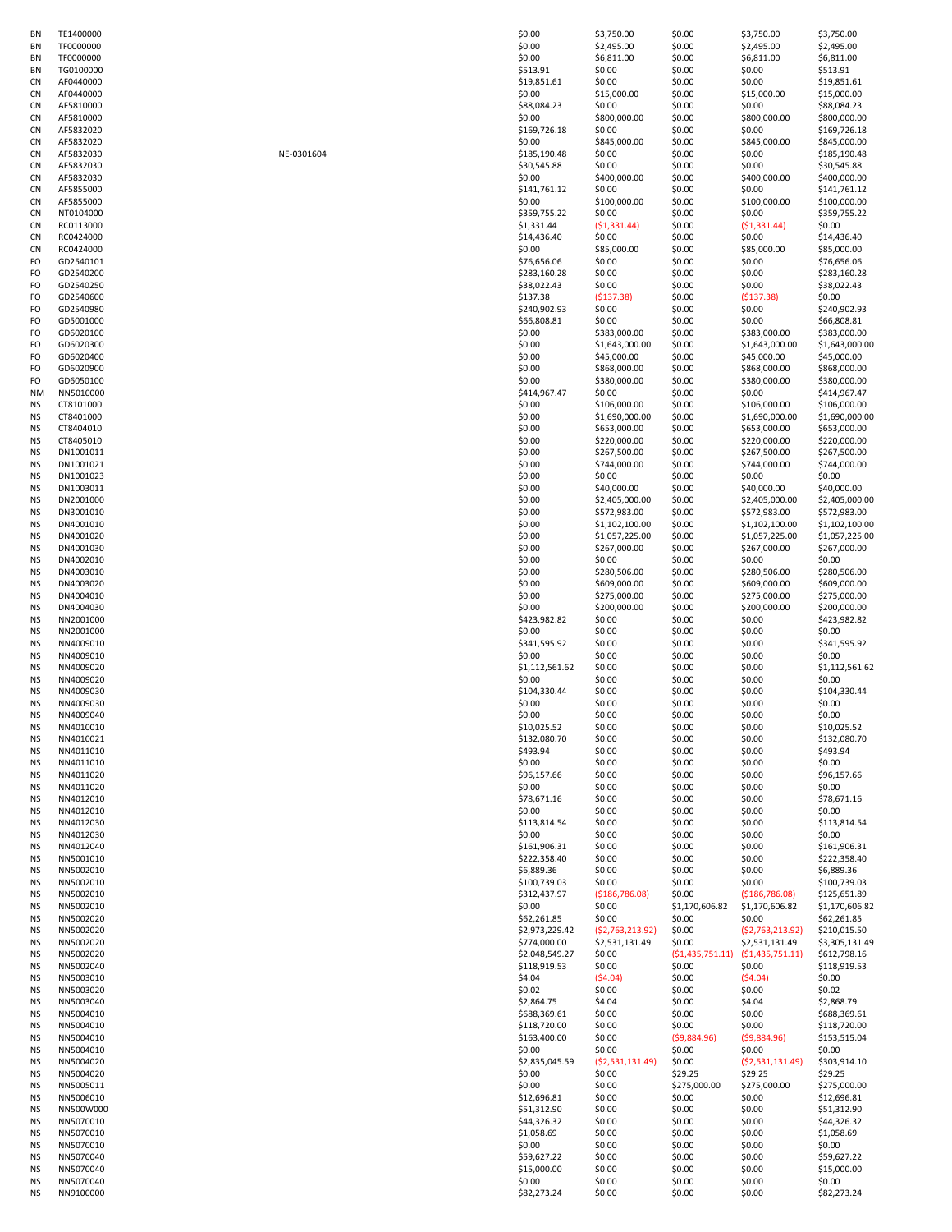| ΒN        | TE1400000 |            | \$0.00         | \$3,750.00                     | \$0.00            | \$3,750.00                     | \$3,750.00                     |
|-----------|-----------|------------|----------------|--------------------------------|-------------------|--------------------------------|--------------------------------|
| ΒN        | TF0000000 |            | \$0.00         | \$2,495.00                     | \$0.00            | \$2,495.00                     | \$2,495.00                     |
| ΒN        | TF0000000 |            | \$0.00         | \$6,811.00                     | \$0.00            | \$6,811.00                     | \$6,811.00                     |
| ΒN        | TG0100000 |            | \$513.91       | \$0.00                         | \$0.00            | \$0.00                         | \$513.91                       |
| <b>CN</b> | AF0440000 |            | \$19,851.61    | \$0.00                         | \$0.00            | \$0.00                         | \$19,851.61                    |
| CN        | AF0440000 |            | \$0.00         | \$15,000.00                    | \$0.00            | \$15,000.00                    | \$15,000.00                    |
| CN        | AF5810000 |            | \$88,084.23    | \$0.00                         | \$0.00            | \$0.00                         | \$88,084.23                    |
| CN        | AF5810000 |            | \$0.00         | \$800,000.00                   | \$0.00            | \$800,000.00                   | \$800,000.00                   |
| CN        | AF5832020 |            | \$169,726.18   | \$0.00                         | \$0.00            | \$0.00                         | \$169,726.18                   |
| CN        | AF5832020 |            | \$0.00         | \$845,000.00                   | \$0.00            | \$845,000.00                   | \$845,000.00                   |
| CN        | AF5832030 | NE-0301604 | \$185,190.48   | \$0.00                         | \$0.00            | \$0.00                         | \$185,190.48                   |
| CN        | AF5832030 |            | \$30,545.88    | \$0.00                         | \$0.00            | \$0.00                         | \$30,545.88                    |
| <b>CN</b> | AF5832030 |            | \$0.00         | \$400,000.00                   | \$0.00            | \$400,000.00                   | \$400,000.00                   |
| <b>CN</b> | AF5855000 |            | \$141,761.12   | \$0.00                         | \$0.00            | \$0.00                         | \$141,761.12                   |
| CN        | AF5855000 |            | \$0.00         | \$100,000.00                   | \$0.00            | \$100,000.00                   | \$100,000.00                   |
| CN        | NT0104000 |            | \$359,755.22   | \$0.00                         | \$0.00            | \$0.00                         | \$359,755.22                   |
| CN        | RC0113000 |            | \$1,331.44     | ( \$1,331.44)                  | \$0.00            | (51, 331.44)                   | \$0.00                         |
| CN        | RC0424000 |            | \$14,436.40    | \$0.00                         | \$0.00            | \$0.00                         | \$14,436.40                    |
| CN        | RC0424000 |            | \$0.00         | \$85,000.00                    | \$0.00            | \$85,000.00                    | \$85,000.00                    |
| FO        | GD2540101 |            | \$76,656.06    | \$0.00                         | \$0.00            | \$0.00                         | \$76,656.06                    |
| FO        | GD2540200 |            | \$283,160.28   | \$0.00                         | \$0.00            | \$0.00                         | \$283,160.28                   |
| FO        | GD2540250 |            | \$38,022.43    | \$0.00                         | \$0.00            | \$0.00                         | \$38,022.43                    |
| FO        | GD2540600 |            | \$137.38       | ( \$137.38)                    | \$0.00            | (5137.38)                      | \$0.00                         |
| FO        | GD2540980 |            | \$240,902.93   | \$0.00                         | \$0.00            | \$0.00                         | \$240,902.93                   |
| FO        | GD5001000 |            | \$66,808.81    | \$0.00                         | \$0.00            | \$0.00                         | \$66,808.81                    |
| FO        | GD6020100 |            | \$0.00         | \$383,000.00                   | \$0.00            | \$383,000.00                   | \$383,000.00                   |
| FO        | GD6020300 |            | \$0.00         | \$1,643,000.00                 | \$0.00            | \$1,643,000.00                 | \$1,643,000.00                 |
| FO        | GD6020400 |            | \$0.00         | \$45,000.00                    | \$0.00            | \$45,000.00                    | \$45,000.00                    |
| FO        | GD6020900 |            | \$0.00         | \$868,000.00                   | \$0.00            | \$868,000.00                   | \$868,000.00                   |
| FO        | GD6050100 |            | \$0.00         | \$380,000.00                   | \$0.00            | \$380,000.00                   | \$380,000.00                   |
| NM        | NN5010000 |            | \$414,967.47   | \$0.00                         | \$0.00            | \$0.00                         | \$414,967.47                   |
| ΝS        | CT8101000 |            | \$0.00         | \$106,000.00                   | \$0.00            | \$106,000.00                   | \$106,000.00                   |
| ΝS        | CT8401000 |            | \$0.00         | \$1,690,000.00                 | \$0.00            | \$1,690,000.00                 | \$1,690,000.00                 |
| ΝS        | CT8404010 |            | \$0.00         | \$653,000.00                   | \$0.00            | \$653,000.00                   | \$653,000.00                   |
| ΝS        | CT8405010 |            | \$0.00         | \$220,000.00                   | \$0.00            | \$220,000.00                   | \$220,000.00                   |
| ΝS        | DN1001011 |            | \$0.00         | \$267,500.00                   | \$0.00            | \$267,500.00                   | \$267,500.00                   |
| ΝS        | DN1001021 |            | \$0.00         | \$744,000.00                   | \$0.00            | \$744,000.00                   | \$744,000.00                   |
| ΝS        | DN1001023 |            | \$0.00         | \$0.00                         | \$0.00            | \$0.00                         | \$0.00                         |
| <b>NS</b> | DN1003011 |            | \$0.00         | \$40,000.00                    | \$0.00            | \$40,000.00                    | \$40,000.00                    |
| ΝS        | DN2001000 |            | \$0.00         |                                |                   |                                |                                |
| ΝS        | DN3001010 |            | \$0.00         | \$2,405,000.00<br>\$572,983.00 | \$0.00<br>\$0.00  | \$2,405,000.00<br>\$572,983.00 | \$2,405,000.00<br>\$572,983.00 |
| ΝS        | DN4001010 |            | \$0.00         | \$1,102,100.00                 | \$0.00            | \$1,102,100.00                 | \$1,102,100.00                 |
|           | DN4001020 |            | \$0.00         | \$1,057,225.00                 | \$0.00            | \$1,057,225.00                 | \$1,057,225.00                 |
| ΝS        | DN4001030 |            | \$0.00         | \$267,000.00                   | \$0.00            | \$267,000.00                   | \$267,000.00                   |
| ΝS        | DN4002010 |            | \$0.00         | \$0.00                         |                   | \$0.00                         | \$0.00                         |
| ΝS        | DN4003010 |            | \$0.00         | \$280,506.00                   | \$0.00<br>\$0.00  |                                | \$280,506.00                   |
| ΝS        |           |            |                |                                |                   | \$280,506.00                   |                                |
| ΝS        | DN4003020 |            | \$0.00         | \$609,000.00                   | \$0.00            | \$609,000.00                   | \$609,000.00                   |
| ΝS        | DN4004010 |            | \$0.00         | \$275,000.00                   | \$0.00            | \$275,000.00                   | \$275,000.00                   |
| ΝS        | DN4004030 |            | \$0.00         | \$200,000.00                   | \$0.00            | \$200,000.00                   | \$200,000.00                   |
| ΝS        | NN2001000 |            | \$423,982.82   | \$0.00                         | \$0.00            | \$0.00                         | \$423,982.82                   |
| ΝS        | NN2001000 |            | \$0.00         | \$0.00                         | \$0.00            | \$0.00                         | \$0.00                         |
| ΝS        | NN4009010 |            | \$341,595.92   | \$0.00                         | \$0.00            | \$0.00                         | \$341,595.92                   |
| ΝS        | NN4009010 |            | \$0.00         | \$0.00                         | \$0.00            | \$0.00                         | \$0.00                         |
| ΝS        | NN4009020 |            | \$1,112,561.62 | \$0.00                         | \$0.00            | \$0.00                         | \$1,112,561.62                 |
| ΝS        | NN4009020 |            | \$0.00         | \$0.00                         | \$0.00            | \$0.00                         | \$0.00                         |
| ΝS        | NN4009030 |            | \$104,330.44   | \$0.00                         | \$0.00            | \$0.00                         | \$104,330.44                   |
| ΝS        | NN4009030 |            | \$0.00         | \$0.00                         | \$0.00            | \$0.00                         | \$0.00                         |
| ΝS        | NN4009040 |            | \$0.00         | \$0.00                         | \$0.00            | \$0.00                         | \$0.00                         |
| ΝS        | NN4010010 |            | \$10,025.52    | \$0.00                         | \$0.00            | \$0.00                         | \$10,025.52                    |
| ΝS        | NN4010021 |            | \$132,080.70   | \$0.00                         | \$0.00            | \$0.00                         | \$132,080.70                   |
| ΝS        | NN4011010 |            | \$493.94       | \$0.00                         | \$0.00            | \$0.00                         | \$493.94                       |
| ΝS        | NN4011010 |            | \$0.00         | \$0.00                         | \$0.00            | \$0.00                         | \$0.00                         |
| ΝS        | NN4011020 |            | \$96,157.66    | \$0.00                         | \$0.00            | \$0.00                         | \$96,157.66                    |
| ΝS        | NN4011020 |            | \$0.00         | \$0.00                         | \$0.00            | \$0.00                         | \$0.00                         |
| ΝS        | NN4012010 |            | \$78,671.16    | \$0.00                         | \$0.00            | \$0.00                         | \$78,671.16                    |
| ΝS        | NN4012010 |            | \$0.00         | \$0.00                         | \$0.00            | \$0.00                         | \$0.00                         |
| ΝS        | NN4012030 |            | \$113,814.54   | \$0.00                         | \$0.00            | \$0.00                         | \$113,814.54                   |
| ΝS        | NN4012030 |            | \$0.00         | \$0.00                         | \$0.00            | \$0.00                         | \$0.00                         |
| ΝS        | NN4012040 |            | \$161,906.31   | \$0.00                         | \$0.00            | \$0.00                         | \$161,906.31                   |
| ΝS        | NN5001010 |            | \$222,358.40   | \$0.00                         | \$0.00            | \$0.00                         | \$222,358.40                   |
| ΝS        | NN5002010 |            | \$6,889.36     | \$0.00                         | \$0.00            | \$0.00                         | \$6,889.36                     |
| ΝS        | NN5002010 |            | \$100,739.03   | \$0.00                         | \$0.00            | \$0.00                         | \$100,739.03                   |
| ΝS        | NN5002010 |            | \$312,437.97   | (\$186,786.08)                 | \$0.00            | ( \$186, 786.08)               | \$125,651.89                   |
| ΝS        | NN5002010 |            | \$0.00         | \$0.00                         | \$1,170,606.82    | \$1,170,606.82                 | \$1,170,606.82                 |
| ΝS        | NN5002020 |            | \$62,261.85    | \$0.00                         | \$0.00            | \$0.00                         | \$62,261.85                    |
| ΝS        | NN5002020 |            | \$2,973,229.42 | (52, 763, 213.92)              | \$0.00            | (52, 763, 213.92)              | \$210,015.50                   |
| ΝS        | NN5002020 |            | \$774,000.00   | \$2,531,131.49                 | \$0.00            | \$2,531,131.49                 | \$3,305,131.49                 |
| ΝS        | NN5002020 |            | \$2,048,549.27 | \$0.00                         | (51, 435, 751.11) | ( \$1,435,751.11)              | \$612,798.16                   |
| ΝS        | NN5002040 |            | \$118,919.53   | \$0.00                         | \$0.00            | \$0.00                         | \$118,919.53                   |
| ΝS        | NN5003010 |            | \$4.04         | (\$4.04)                       | \$0.00            | (54.04)                        | \$0.00                         |
| ΝS        | NN5003020 |            | \$0.02\$       | \$0.00                         | \$0.00            | \$0.00                         | \$0.02                         |
| ΝS        | NN5003040 |            | \$2,864.75     | \$4.04                         | \$0.00            | \$4.04                         | \$2,868.79                     |
| ΝS        | NN5004010 |            | \$688,369.61   | \$0.00                         | \$0.00            | \$0.00                         | \$688,369.61                   |
| ΝS        | NN5004010 |            | \$118,720.00   | \$0.00                         | \$0.00            | \$0.00                         | \$118,720.00                   |
| ΝS        | NN5004010 |            | \$163,400.00   | \$0.00                         | (59,884.96)       | (59,884.96)                    | \$153,515.04                   |
| ΝS        | NN5004010 |            | \$0.00         | \$0.00                         | \$0.00            | \$0.00                         | \$0.00                         |
| ΝS        | NN5004020 |            | \$2,835,045.59 | ( \$2,531,131.49)              | \$0.00            | ( \$2,531,131.49)              | \$303,914.10                   |
| ΝS        | NN5004020 |            | \$0.00         | \$0.00                         | \$29.25           | \$29.25                        | \$29.25                        |
| ΝS        | NN5005011 |            | \$0.00         | \$0.00                         | \$275,000.00      | \$275,000.00                   | \$275,000.00                   |
| ΝS        | NN5006010 |            | \$12,696.81    | \$0.00                         | \$0.00            | \$0.00                         | \$12,696.81                    |
| ΝS        | NN500W000 |            | \$51,312.90    | \$0.00                         | \$0.00            | \$0.00                         | \$51,312.90                    |
| ΝS        | NN5070010 |            | \$44,326.32    | \$0.00                         | \$0.00            | \$0.00                         | \$44,326.32                    |
| ΝS        | NN5070010 |            | \$1,058.69     | \$0.00                         | \$0.00            | \$0.00                         | \$1,058.69                     |
| ΝS        | NN5070010 |            | \$0.00         | \$0.00                         | \$0.00            | \$0.00                         | \$0.00                         |
| ΝS        | NN5070040 |            | \$59,627.22    | \$0.00                         | \$0.00            | \$0.00                         | \$59,627.22                    |
| ΝS        | NN5070040 |            | \$15,000.00    | \$0.00                         | \$0.00            | \$0.00                         | \$15,000.00                    |
| ΝS        | NN5070040 |            | \$0.00         | \$0.00                         | \$0.00            | \$0.00                         | \$0.00                         |
| ΝS        | NN9100000 |            | \$82,273.24    | \$0.00                         | \$0.00            | \$0.00                         | \$82,273.24                    |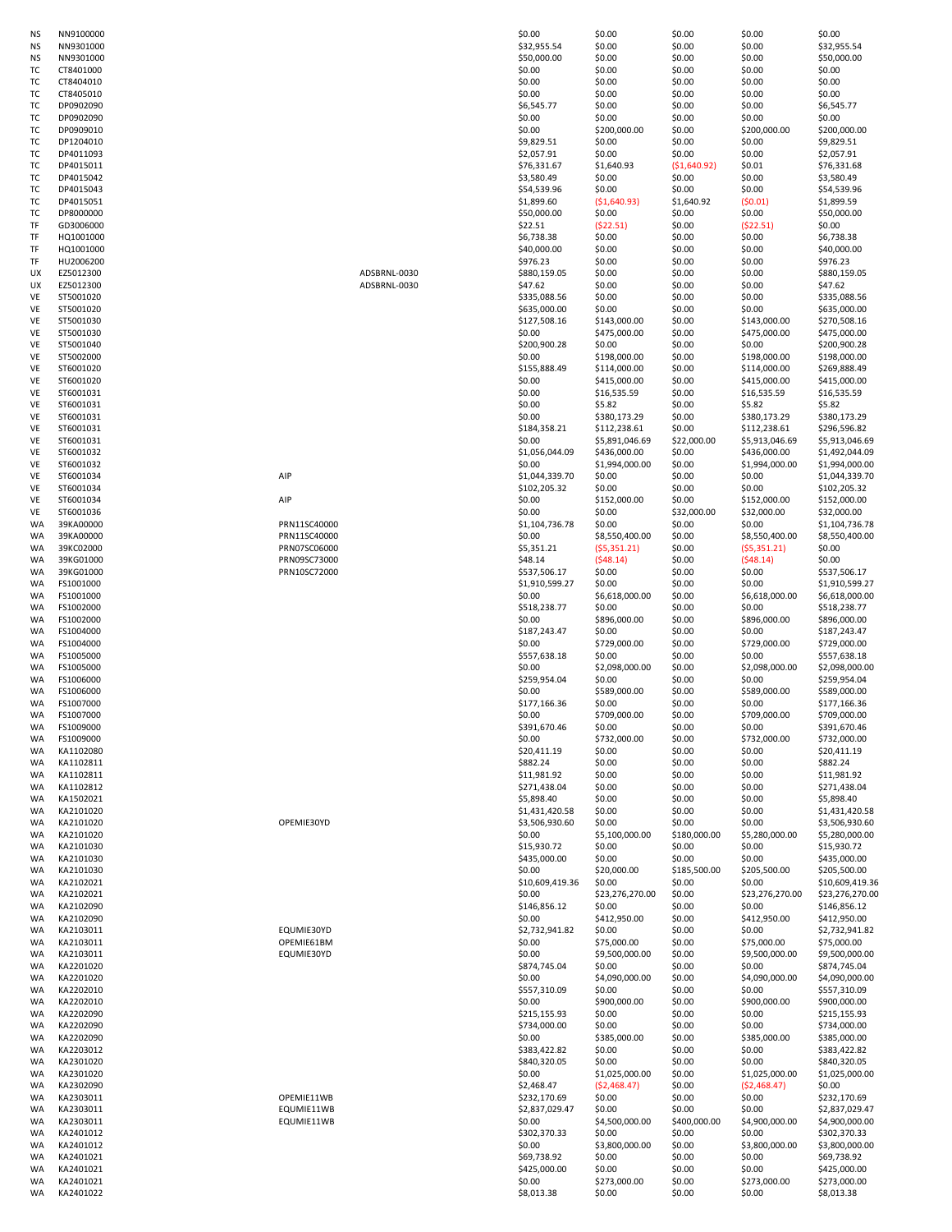| NS | NN9100000     |
|----|---------------|
| NS | NN9301000     |
| NS | NN9301000     |
|    |               |
| тс | CT8401000     |
| тс | T8404010<br>c |
| тс | CT8405010     |
| тс | DP0902090     |
|    |               |
| тс | DP0902090     |
| тс | DP0909010     |
|    | DP1204010     |
| тс |               |
| тс | DP4011093     |
| тс | DP4015011     |
| тс | DP4015042     |
|    |               |
| тс | DP4015043     |
| тс | DP4015051     |
| тс | DP8000000     |
|    |               |
| TF | GD3006000     |
| TF | HQ1001000     |
| TF | HQ1001000     |
| TF | HU2006200     |
|    |               |
| UX | EZ5012300     |
| UΧ | EZ5012300     |
| VE | ST5001020     |
|    |               |
| VE | ST5001020     |
| VE | ST5001030     |
| VE | ST5001030     |
|    |               |
| VE | ST5001040     |
| VE | ST5002000     |
| VE | ST6001020     |
|    |               |
| VE | ST6001020     |
| VE | ST6001031     |
| VE | ST6001031     |
| VE | ST6001031     |
|    |               |
| VE | ST6001031     |
| VE | ST6001031     |
| VE | ST6001032     |
|    |               |
| VE | ST6001032     |
| VE | ST6001034     |
| VE | ST6001034     |
| VE | ST6001034     |
|    |               |
| VE | ST6001036     |
| WA | 39KA00000     |
| WA | 39KA00000     |
|    |               |
| WA | 39KC02000     |
| WA | 39KG01000     |
| WA | 39KG01000     |
|    |               |
| WA | FS1001000     |
| WA | FS1001000     |
| WA | FS1002000     |
|    |               |
| WA | FS1002000     |
| WA | FS1004000     |
| WA | FS1004000     |
| WA | FS1005000     |
|    |               |
| WA |               |
|    | FS1005000     |
| WA | FS1006000     |
|    |               |
| WA | FS1006000     |
| WA | FS1007000     |
| WA | FS1007000     |
|    | FS1009000     |
| WA |               |
| WA | FS1009000     |
| WA | KA1102080     |
| WA | KA1102811     |
|    |               |
| WA | KA1102811     |
| WA | KA1102812     |
| WA | KA1502021     |
|    |               |
| WA | KA2101020     |
| WA | KA2101020     |
| WA | KA2101020     |
|    |               |
| WA | KA2101030     |
| WA | KA2101030     |
| WA | KA2101030     |
|    |               |
| WA | KA2102021     |
| WA | KA2102021     |
| WA | KA2102090     |
| WA | KA2102090     |
|    |               |
| WA | KA2103011     |
| WA | KA2103011     |

| ΝS          | NN9100000               |                   |              | \$0.00                                                                                                                                                                                                                                                                                                                                                                   | \$0.00               | \$0.00              | \$0.00                    | \$0.00                                          |
|-------------|-------------------------|-------------------|--------------|--------------------------------------------------------------------------------------------------------------------------------------------------------------------------------------------------------------------------------------------------------------------------------------------------------------------------------------------------------------------------|----------------------|---------------------|---------------------------|-------------------------------------------------|
| ΝS          | NN9301000               |                   |              | \$32,955.54                                                                                                                                                                                                                                                                                                                                                              | \$0.00               | \$0.00              | \$0.00                    | \$32,955                                        |
| ΝS          | NN9301000               |                   |              | \$50,000.00                                                                                                                                                                                                                                                                                                                                                              | \$0.00               | \$0.00              | \$0.00                    | \$50,000                                        |
| тс          | CT8401000               |                   |              | \$0.00                                                                                                                                                                                                                                                                                                                                                                   | \$0.00               | \$0.00              | \$0.00                    | \$0.00                                          |
| тс          | CT8404010               |                   |              | \$0.00                                                                                                                                                                                                                                                                                                                                                                   | \$0.00               | \$0.00              | \$0.00                    | \$0.00                                          |
| тс          | CT8405010               |                   |              | \$0.00                                                                                                                                                                                                                                                                                                                                                                   | \$0.00               | \$0.00              | \$0.00                    | \$0.00                                          |
| тс          | DP0902090               |                   |              | \$6,545.77                                                                                                                                                                                                                                                                                                                                                               | \$0.00               | \$0.00              | \$0.00                    | \$6,545.                                        |
| ТC          | DP0902090               |                   |              | \$0.00                                                                                                                                                                                                                                                                                                                                                                   | \$0.00               | \$0.00              | \$0.00                    | \$0.00                                          |
| ТC          | DP0909010               |                   |              | \$0.00                                                                                                                                                                                                                                                                                                                                                                   | \$200,000.00         | \$0.00              | \$200,000.00              | \$200,00                                        |
| ТC          | DP1204010               |                   |              | \$9,829.51                                                                                                                                                                                                                                                                                                                                                               | \$0.00               | \$0.00              | \$0.00                    | \$9,829.                                        |
| тс          | DP4011093               |                   |              | \$2,057.91                                                                                                                                                                                                                                                                                                                                                               | \$0.00               | \$0.00              | \$0.00                    | \$2,057.                                        |
| тс          | DP4015011               |                   |              | \$76,331.67                                                                                                                                                                                                                                                                                                                                                              | \$1,640.93           | (51,640.92)         | \$0.01                    | \$76,331                                        |
|             | DP4015042               |                   |              |                                                                                                                                                                                                                                                                                                                                                                          |                      | \$0.00              |                           |                                                 |
| тс          |                         |                   |              | \$3,580.49                                                                                                                                                                                                                                                                                                                                                               | \$0.00               |                     | \$0.00                    | \$3,580.                                        |
| ТC          | DP4015043               |                   |              | \$54,539.96                                                                                                                                                                                                                                                                                                                                                              | \$0.00               | \$0.00              | \$0.00                    | \$54,539                                        |
| тс          | DP4015051               |                   |              | \$1,899.60                                                                                                                                                                                                                                                                                                                                                               | ( \$1,640.93)        | \$1,640.92          | (50.01)                   | \$1,899.                                        |
| ТC          | DP8000000               |                   |              | \$50,000.00                                                                                                                                                                                                                                                                                                                                                              | \$0.00               | \$0.00              | \$0.00                    | \$50,000                                        |
| TF          | GD3006000               |                   |              | \$22.51                                                                                                                                                                                                                                                                                                                                                                  | (522.51)             | \$0.00              | (522.51)                  | \$0.00                                          |
| TF          | HQ1001000               |                   |              | \$6,738.38                                                                                                                                                                                                                                                                                                                                                               | \$0.00               | \$0.00              | \$0.00                    | \$6,738.                                        |
| TF          | HQ1001000               |                   |              | \$40,000.00                                                                                                                                                                                                                                                                                                                                                              | \$0.00               | \$0.00              | \$0.00                    | \$40,000                                        |
| TF          | HU2006200               |                   |              | \$976.23                                                                                                                                                                                                                                                                                                                                                                 | \$0.00               | \$0.00              | \$0.00                    | \$976.23                                        |
| UX          | EZ5012300               |                   | ADSBRNL-0030 | \$880,159.05                                                                                                                                                                                                                                                                                                                                                             | \$0.00               | \$0.00              | \$0.00                    | \$880,15                                        |
| UX          | EZ5012300               |                   | ADSBRNL-0030 | \$47.62                                                                                                                                                                                                                                                                                                                                                                  | \$0.00               | \$0.00              | \$0.00                    | \$47.62                                         |
| VE          | ST5001020               |                   |              | \$335,088.56                                                                                                                                                                                                                                                                                                                                                             | \$0.00               | \$0.00              | \$0.00                    | \$335,08                                        |
| VE          | ST5001020               |                   |              | \$635,000.00                                                                                                                                                                                                                                                                                                                                                             | \$0.00               | \$0.00              | \$0.00                    | \$635,00                                        |
| VE          | ST5001030               |                   |              | \$127,508.16                                                                                                                                                                                                                                                                                                                                                             | \$143,000.00         | \$0.00              | \$143,000.00              | \$270,50                                        |
| VE          | ST5001030               |                   |              | \$0.00                                                                                                                                                                                                                                                                                                                                                                   | \$475,000.00         | \$0.00              | \$475,000.00              | \$475,00                                        |
| VE          | ST5001040               |                   |              | \$200,900.28                                                                                                                                                                                                                                                                                                                                                             | \$0.00               | \$0.00              | \$0.00                    | \$200,90                                        |
| VE          | ST5002000               |                   |              | \$0.00                                                                                                                                                                                                                                                                                                                                                                   | \$198,000.00         | \$0.00              | \$198,000.00              | \$198,00                                        |
| VE          | ST6001020               |                   |              | \$155,888.49                                                                                                                                                                                                                                                                                                                                                             | \$114,000.00         | \$0.00              | \$114,000.00              | \$269,88                                        |
| VE          | ST6001020               |                   |              | \$0.00                                                                                                                                                                                                                                                                                                                                                                   | \$415,000.00         | \$0.00              | \$415,000.00              | \$415,00                                        |
| VE          | ST6001031               |                   |              | \$0.00                                                                                                                                                                                                                                                                                                                                                                   | \$16,535.59          | \$0.00              | \$16,535.59               | \$16,535                                        |
| VE          | ST6001031               |                   |              | \$0.00                                                                                                                                                                                                                                                                                                                                                                   | \$5.82               | \$0.00              | \$5.82                    | \$5.82                                          |
| VE          | ST6001031               |                   |              | \$0.00                                                                                                                                                                                                                                                                                                                                                                   | \$380,173.29         | \$0.00              | \$380,173.29              | \$380,17                                        |
| VE          | ST6001031               |                   |              | \$184,358.21                                                                                                                                                                                                                                                                                                                                                             | \$112,238.61         | \$0.00              | \$112,238.61              | \$296,59                                        |
| VE          | ST6001031               |                   |              | \$0.00                                                                                                                                                                                                                                                                                                                                                                   |                      | \$22,000.00         | \$5,913,046.69            |                                                 |
|             |                         |                   |              |                                                                                                                                                                                                                                                                                                                                                                          | \$5,891,046.69       |                     |                           | \$5,913,                                        |
| VE          | ST6001032               |                   |              | \$1,056,044.09                                                                                                                                                                                                                                                                                                                                                           | \$436,000.00         | \$0.00              | \$436,000.00              | \$1,492,                                        |
| VE          | ST6001032               |                   |              | \$0.00                                                                                                                                                                                                                                                                                                                                                                   | \$1,994,000.00       | \$0.00              | \$1,994,000.00            | \$1,994,                                        |
| VE          | ST6001034               | AIP               |              | \$1,044,339.70                                                                                                                                                                                                                                                                                                                                                           | \$0.00               | \$0.00              | \$0.00                    | \$1,044,                                        |
| VE          | ST6001034               |                   |              | \$102,205.32                                                                                                                                                                                                                                                                                                                                                             | \$0.00               | \$0.00              | \$0.00                    | \$102,20                                        |
| VE          | ST6001034               | AIP               |              | \$0.00                                                                                                                                                                                                                                                                                                                                                                   | \$152,000.00         | \$0.00              | \$152,000.00              | \$152,00                                        |
| VE          | ST6001036               |                   |              | \$0.00                                                                                                                                                                                                                                                                                                                                                                   | \$0.00               | \$32,000.00         | \$32,000.00               | \$32,000                                        |
| WA          | 39KA00000               | PRN11SC40000      |              | \$1,104,736.78                                                                                                                                                                                                                                                                                                                                                           | \$0.00               | \$0.00              | \$0.00                    | \$1,104,                                        |
| WA          | 39KA00000               | PRN11SC40000      |              | \$0.00                                                                                                                                                                                                                                                                                                                                                                   | \$8,550,400.00       | \$0.00              | \$8,550,400.00            | \$8,550,                                        |
| WA          | 39KC02000               | PRN07SC06000      |              | \$5,351.21                                                                                                                                                                                                                                                                                                                                                               | (55,351.21)          | \$0.00              | (55,351.21)               | \$0.00                                          |
| WA          | 39KG01000               | PRN09SC73000      |              | \$48.14                                                                                                                                                                                                                                                                                                                                                                  | (548.14)             | \$0.00              | (548.14)                  | \$0.00                                          |
| WA          | 39KG01000               | PRN10SC72000      |              | \$537,506.17                                                                                                                                                                                                                                                                                                                                                             | \$0.00               | \$0.00              | \$0.00                    | \$537,50                                        |
| WA          | FS1001000               |                   |              | \$1,910,599.27                                                                                                                                                                                                                                                                                                                                                           | \$0.00               | \$0.00              | \$0.00                    | \$1,910,                                        |
| WA          | FS1001000               |                   |              | \$0.00                                                                                                                                                                                                                                                                                                                                                                   | \$6,618,000.00       | \$0.00              | \$6,618,000.00            | \$6,618,                                        |
| WA          | FS1002000               |                   |              | \$518,238.77                                                                                                                                                                                                                                                                                                                                                             | \$0.00               | \$0.00              | \$0.00                    | \$518,23                                        |
| WA          | FS1002000               |                   |              | \$0.00                                                                                                                                                                                                                                                                                                                                                                   | \$896,000.00         | \$0.00              | \$896,000.00              | \$896,00                                        |
| WA          | FS1004000               |                   |              | \$187,243.47                                                                                                                                                                                                                                                                                                                                                             | \$0.00               | \$0.00              | \$0.00                    | \$187,24                                        |
| WA          | FS1004000               |                   |              | \$0.00                                                                                                                                                                                                                                                                                                                                                                   | \$729,000.00         | \$0.00              | \$729,000.00              | \$729,00                                        |
| WA          | FS1005000               |                   |              | \$557,638.18                                                                                                                                                                                                                                                                                                                                                             | \$0.00               | \$0.00              | \$0.00                    | \$557,63                                        |
| WA          | FS1005000               |                   |              | \$0.00                                                                                                                                                                                                                                                                                                                                                                   | \$2,098,000.00       | \$0.00              | \$2,098,000.00            | \$2,098,                                        |
| WA          | FS1006000               |                   |              | \$259,954.04                                                                                                                                                                                                                                                                                                                                                             | \$0.00               | \$0.00              | \$0.00                    | \$259,95                                        |
| WA          | FS1006000               |                   |              | \$0.00                                                                                                                                                                                                                                                                                                                                                                   | \$589,000.00         | \$0.00              | \$589,000.00              | \$589,00                                        |
|             | FS1007000               |                   |              |                                                                                                                                                                                                                                                                                                                                                                          | \$0.00               | \$0.00              | \$0.00                    | \$177,16                                        |
| WA          |                         |                   |              | \$177,166.36                                                                                                                                                                                                                                                                                                                                                             |                      |                     |                           |                                                 |
| WA          | FS1007000               |                   |              | \$0.00                                                                                                                                                                                                                                                                                                                                                                   | \$709,000.00         | \$0.00              | \$709,000.00              | \$709,00                                        |
| WA          | FS1009000               |                   |              | \$391,670.46                                                                                                                                                                                                                                                                                                                                                             | \$0.00               | \$0.00              | \$0.00                    | \$391,67                                        |
| WA          | FS1009000               |                   |              | \$0.00                                                                                                                                                                                                                                                                                                                                                                   | \$732,000.00         | \$0.00              | \$732,000.00              | \$732,00                                        |
| WA          | KA1102080               |                   |              | \$20,411.19                                                                                                                                                                                                                                                                                                                                                              | \$0.00               | \$0.00              | \$0.00                    | \$20,411                                        |
| WA          | KA1102811               |                   |              | \$882.24                                                                                                                                                                                                                                                                                                                                                                 | \$0.00               | \$0.00              | \$0.00                    | \$882.24                                        |
| WA          | KA1102811               |                   |              | \$11,981.92                                                                                                                                                                                                                                                                                                                                                              | \$0.00               | \$0.00              | \$0.00                    | \$11,981                                        |
| WA          | KA1102812               |                   |              | \$271,438.04                                                                                                                                                                                                                                                                                                                                                             | \$0.00               | \$0.00              | \$0.00                    | \$271,43                                        |
| WA          | KA1502021               |                   |              | \$5,898.40                                                                                                                                                                                                                                                                                                                                                               | \$0.00               | \$0.00              | \$0.00                    | \$5,898.                                        |
| WA          | KA2101020               |                   |              | \$1,431,420.58                                                                                                                                                                                                                                                                                                                                                           | \$0.00               | \$0.00              | \$0.00                    | \$1,431,                                        |
| WA          | KA2101020               | OPEMIE30YD        |              | \$3,506,930.60                                                                                                                                                                                                                                                                                                                                                           | \$0.00               | \$0.00              | \$0.00                    | \$3,506,                                        |
| WA          | KA2101020               |                   |              | \$0.00                                                                                                                                                                                                                                                                                                                                                                   | \$5,100,000.00       | \$180,000.00        | \$5,280,000.00            | \$5,280,                                        |
| WA          | KA2101030               |                   |              | \$15,930.72                                                                                                                                                                                                                                                                                                                                                              | \$0.00               | \$0.00              | \$0.00                    | \$15,930                                        |
| WA          | KA2101030               |                   |              | \$435,000.00                                                                                                                                                                                                                                                                                                                                                             | \$0.00               | \$0.00              | \$0.00                    | \$435,00                                        |
| WA          | KA2101030               |                   |              | \$0.00                                                                                                                                                                                                                                                                                                                                                                   | \$20,000.00          | \$185,500.00        | \$205,500.00              | \$205,50                                        |
| WA          | KA2102021               |                   |              | \$10,609,419.36                                                                                                                                                                                                                                                                                                                                                          | \$0.00               | \$0.00              | \$0.00                    | \$10,609                                        |
| WA          | KA2102021               |                   |              | \$0.00                                                                                                                                                                                                                                                                                                                                                                   | \$23,276,270.00      | \$0.00              | \$23,276,270.00           | \$23,276                                        |
|             | KA2102090               |                   |              | \$146,856.12                                                                                                                                                                                                                                                                                                                                                             | \$0.00               |                     | \$0.00                    | \$146,85                                        |
| WA          |                         |                   |              |                                                                                                                                                                                                                                                                                                                                                                          |                      | \$0.00              |                           |                                                 |
| WA<br>1.1.1 | KA2102090<br>1/12102011 | <b>COUNSICION</b> |              | \$0.00<br>$^{\circ}$ $^{\circ}$ $^{\circ}$ $^{\circ}$ $^{\circ}$ $^{\circ}$ $^{\circ}$ $^{\circ}$ $^{\circ}$ $^{\circ}$ $^{\circ}$ $^{\circ}$ $^{\circ}$ $^{\circ}$ $^{\circ}$ $^{\circ}$ $^{\circ}$ $^{\circ}$ $^{\circ}$ $^{\circ}$ $^{\circ}$ $^{\circ}$ $^{\circ}$ $^{\circ}$ $^{\circ}$ $^{\circ}$ $^{\circ}$ $^{\circ}$ $^{\circ}$ $^{\circ}$ $^{\circ}$ $^{\circ$ | \$412,950.00<br>0.00 | \$0.00<br>$\sim$ 00 | \$412,950.00<br>$\sim$ 00 | \$412,95<br>$\leftrightarrow$ $\leftrightarrow$ |

| ΝS  | NN9100000 |              | \$0.00          | \$0.00          | \$0.00        | \$0.00          | \$0.00          |
|-----|-----------|--------------|-----------------|-----------------|---------------|-----------------|-----------------|
| ΝS  | NN9301000 |              | \$32,955.54     | \$0.00          | \$0.00        | \$0.00          | \$32,955.54     |
| ΝS  | NN9301000 |              | \$50,000.00     | \$0.00          | \$0.00        | \$0.00          | \$50,000.00     |
| тс  | CT8401000 |              | \$0.00          | \$0.00          | \$0.00        | \$0.00          | \$0.00          |
| ТC  | CT8404010 |              | \$0.00          | \$0.00          | \$0.00        | \$0.00          | \$0.00          |
| тс  | CT8405010 |              | \$0.00          | \$0.00          | \$0.00        | \$0.00          | \$0.00          |
|     |           |              |                 |                 |               |                 |                 |
| тс  | DP0902090 |              | \$6,545.77      | \$0.00          | \$0.00        | \$0.00          | \$6,545.77      |
| тс  | DP0902090 |              | \$0.00          | \$0.00          | \$0.00        | \$0.00          | \$0.00          |
| тс  | DP0909010 |              | \$0.00          | \$200,000.00    | \$0.00        | \$200,000.00    | \$200,000.00    |
| тс  | DP1204010 |              | \$9,829.51      | \$0.00          | \$0.00        | \$0.00          | \$9,829.51      |
| тс  | DP4011093 |              | \$2,057.91      | \$0.00          | \$0.00        | \$0.00          | \$2,057.91      |
| ТC  | DP4015011 |              | \$76,331.67     | \$1,640.93      | ( \$1,640.92) | \$0.01          | \$76,331.68     |
| ТC  | DP4015042 |              | \$3,580.49      | \$0.00          | \$0.00        | \$0.00          | \$3,580.49      |
| ТC  | DP4015043 |              | \$54,539.96     | \$0.00          | \$0.00        | \$0.00          | \$54,539.96     |
| тс  | DP4015051 |              | \$1,899.60      | ( \$1,640.93)   | \$1,640.92    | (50.01)         | \$1,899.59      |
|     |           |              |                 |                 |               |                 |                 |
| тс  | DP8000000 |              | \$50,000.00     | \$0.00          | \$0.00        | \$0.00          | \$50,000.00     |
| TF  | GD3006000 |              | \$22.51         | (522.51)        | \$0.00        | (522.51)        | \$0.00          |
| TF  | HQ1001000 |              | \$6,738.38      | \$0.00          | \$0.00        | \$0.00          | \$6,738.38      |
| TF  | HQ1001000 |              | \$40,000.00     | \$0.00          | \$0.00        | \$0.00          | \$40,000.00     |
| TF  | HU2006200 |              | \$976.23        | \$0.00          | \$0.00        | \$0.00          | \$976.23        |
| UΧ  | EZ5012300 | ADSBRNL-0030 | \$880,159.05    | \$0.00          | \$0.00        | \$0.00          | \$880,159.05    |
| UΧ  | EZ5012300 | ADSBRNL-0030 | \$47.62         | \$0.00          | \$0.00        | \$0.00          | \$47.62         |
| VE  | ST5001020 |              | \$335,088.56    | \$0.00          | \$0.00        | \$0.00          | \$335,088.56    |
| VE  | ST5001020 |              | \$635,000.00    | \$0.00          | \$0.00        | \$0.00          | \$635,000.00    |
| VE  | ST5001030 |              | \$127,508.16    | \$143,000.00    | \$0.00        | \$143,000.00    | \$270,508.16    |
|     |           |              |                 |                 |               |                 |                 |
| VE  | ST5001030 |              | \$0.00          | \$475,000.00    | \$0.00        | \$475,000.00    | \$475,000.00    |
| VE  | ST5001040 |              | \$200,900.28    | \$0.00          | \$0.00        | \$0.00          | \$200,900.28    |
| VE  | ST5002000 |              | \$0.00          | \$198,000.00    | \$0.00        | \$198,000.00    | \$198,000.00    |
| VE  | ST6001020 |              | \$155,888.49    | \$114,000.00    | \$0.00        | \$114,000.00    | \$269,888.49    |
| VE  | ST6001020 |              | \$0.00          | \$415,000.00    | \$0.00        | \$415,000.00    | \$415,000.00    |
| VE  | ST6001031 |              | \$0.00          | \$16,535.59     | \$0.00        | \$16,535.59     | \$16,535.59     |
| VE  | ST6001031 |              | \$0.00          | \$5.82          | \$0.00        | \$5.82          | \$5.82          |
| VE  | ST6001031 |              | \$0.00          | \$380,173.29    | \$0.00        | \$380,173.29    | \$380,173.29    |
| VE  | ST6001031 |              | \$184,358.21    | \$112,238.61    | \$0.00        | \$112,238.61    | \$296,596.82    |
|     |           |              | \$0.00          |                 |               | \$5,913,046.69  |                 |
| VE  | ST6001031 |              |                 | \$5,891,046.69  | \$22,000.00   |                 | \$5,913,046.69  |
| VE  | ST6001032 |              | \$1,056,044.09  | \$436,000.00    | \$0.00        | \$436,000.00    | \$1,492,044.09  |
| VE  | ST6001032 |              | \$0.00          | \$1,994,000.00  | \$0.00        | \$1,994,000.00  | \$1,994,000.00  |
| VE  | ST6001034 | AIP          | \$1,044,339.70  | \$0.00          | \$0.00        | \$0.00          | \$1,044,339.70  |
| VE  | ST6001034 |              | \$102,205.32    | \$0.00          | \$0.00        | \$0.00          | \$102,205.32    |
| VE  | ST6001034 | AIP          | \$0.00          | \$152,000.00    | \$0.00        | \$152,000.00    | \$152,000.00    |
| VE. | ST6001036 |              | \$0.00          | \$0.00          | \$32,000.00   | \$32,000.00     | \$32,000.00     |
| WA  | 39KA00000 | PRN11SC40000 | \$1,104,736.78  | \$0.00          | \$0.00        | \$0.00          | \$1,104,736.78  |
| WA  | 39KA00000 | PRN11SC40000 | \$0.00          | \$8,550,400.00  | \$0.00        | \$8,550,400.00  | \$8,550,400.00  |
|     |           |              |                 |                 |               |                 |                 |
| WA  | 39KC02000 | PRN07SC06000 | \$5,351.21      | (55,351.21)     | \$0.00        | (55,351.21)     | \$0.00          |
| WA  | 39KG01000 | PRN09SC73000 | \$48.14         | (548.14)        | \$0.00        | (548.14)        | \$0.00          |
| WA  | 39KG01000 | PRN10SC72000 | \$537,506.17    | \$0.00          | \$0.00        | \$0.00          | \$537,506.17    |
| WA  | FS1001000 |              | \$1,910,599.27  | \$0.00          | \$0.00        | \$0.00          | \$1,910,599.27  |
| WA  | FS1001000 |              | \$0.00          | \$6,618,000.00  | \$0.00        | \$6,618,000.00  | \$6,618,000.00  |
| WA  | FS1002000 |              | \$518,238.77    | \$0.00          | \$0.00        | \$0.00          | \$518,238.77    |
| WA  | FS1002000 |              | \$0.00          | \$896,000.00    | \$0.00        | \$896,000.00    | \$896,000.00    |
| WA  | FS1004000 |              | \$187,243.47    | \$0.00          | \$0.00        | \$0.00          | \$187,243.47    |
| WA  | FS1004000 |              | \$0.00          | \$729,000.00    | \$0.00        | \$729,000.00    | \$729,000.00    |
|     |           |              |                 |                 |               |                 |                 |
| WA  | FS1005000 |              | \$557,638.18    | \$0.00          | \$0.00        | \$0.00          | \$557,638.18    |
| WA  | FS1005000 |              | \$0.00          | \$2,098,000.00  | \$0.00        | \$2,098,000.00  | \$2,098,000.00  |
| WA  | FS1006000 |              | \$259,954.04    | \$0.00          | \$0.00        | \$0.00          | \$259,954.04    |
| WA  | FS1006000 |              | \$0.00          | \$589,000.00    | \$0.00        | \$589,000.00    | \$589,000.00    |
| WA  | FS1007000 |              | \$177,166.36    | \$0.00          | \$0.00        | \$0.00          | \$177,166.36    |
| WA  | FS1007000 |              | \$0.00          | \$709,000.00    | \$0.00        | \$709,000.00    | \$709,000.00    |
| WA  | FS1009000 |              | \$391,670.46    | \$0.00          | \$0.00        | \$0.00          | \$391,670.46    |
| WA  | FS1009000 |              | \$0.00          | \$732,000.00    | \$0.00        | \$732,000.00    | \$732,000.00    |
| WA  | KA1102080 |              | \$20,411.19     | \$0.00          | \$0.00        | \$0.00          | \$20,411.19     |
| WA  | KA1102811 |              | \$882.24        | \$0.00          | \$0.00        | \$0.00          | \$882.24        |
|     |           |              |                 |                 |               |                 |                 |
| WA  | KA1102811 |              | \$11,981.92     | \$0.00          | \$0.00        | \$0.00          | \$11,981.92     |
| WA  | KA1102812 |              | \$271,438.04    | \$0.00          | \$0.00        | \$0.00          | \$271,438.04    |
| WA  | KA1502021 |              | \$5,898.40      | \$0.00          | \$0.00        | \$0.00          | \$5,898.40      |
| WA  | KA2101020 |              | \$1,431,420.58  | \$0.00          | \$0.00        | \$0.00          | \$1,431,420.58  |
| WA  | KA2101020 | OPEMIE30YD   | \$3,506,930.60  | \$0.00          | \$0.00        | \$0.00          | \$3,506,930.60  |
| WA  | KA2101020 |              | \$0.00          | \$5,100,000.00  | \$180,000.00  | \$5,280,000.00  | \$5,280,000.00  |
| WA  | KA2101030 |              | \$15,930.72     | \$0.00          | \$0.00        | \$0.00          | \$15,930.72     |
| WA  | KA2101030 |              | \$435,000.00    | \$0.00          | \$0.00        | \$0.00          | \$435,000.00    |
| WA  | KA2101030 |              | \$0.00          | \$20,000.00     | \$185,500.00  | \$205,500.00    | \$205,500.00    |
| WA  | KA2102021 |              | \$10,609,419.36 | \$0.00          | \$0.00        | \$0.00          | \$10,609,419.36 |
| WA  | KA2102021 |              | \$0.00          | \$23,276,270.00 | \$0.00        | \$23,276,270.00 | \$23,276,270.00 |
| WA  | KA2102090 |              | \$146,856.12    | \$0.00          | \$0.00        | \$0.00          | \$146,856.12    |
| WA  | KA2102090 |              | \$0.00          | \$412,950.00    | \$0.00        | \$412,950.00    | \$412,950.00    |
|     | KA2103011 | EQUMIE30YD   | \$2,732,941.82  | \$0.00          | \$0.00        | \$0.00          | \$2,732,941.82  |
| WA  |           |              |                 |                 |               |                 |                 |
| WA  | KA2103011 | OPEMIE61BM   | \$0.00          | \$75,000.00     | \$0.00        | \$75,000.00     | \$75,000.00     |
| WA  | KA2103011 | EQUMIE30YD   | \$0.00          | \$9,500,000.00  | \$0.00        | \$9,500,000.00  | \$9,500,000.00  |
| WA. | KA2201020 |              | \$874,745.04    | \$0.00          | \$0.00        | \$0.00          | \$874,745.04    |
| WA  | KA2201020 |              | \$0.00          | \$4,090,000.00  | \$0.00        | \$4,090,000.00  | \$4,090,000.00  |
| WA  | KA2202010 |              | \$557,310.09    | \$0.00          | \$0.00        | \$0.00          | \$557,310.09    |
| WA  | KA2202010 |              | \$0.00          | \$900,000.00    | \$0.00        | \$900,000.00    | \$900,000.00    |
| WA  | KA2202090 |              | \$215,155.93    | \$0.00          | \$0.00        | \$0.00          | \$215,155.93    |
| WA  | KA2202090 |              | \$734,000.00    | \$0.00          | \$0.00        | \$0.00          | \$734,000.00    |
| WA  | KA2202090 |              | \$0.00          | \$385,000.00    | \$0.00        | \$385,000.00    | \$385,000.00    |
| WA  | KA2203012 |              | \$383,422.82    | \$0.00          | \$0.00        | \$0.00          | \$383,422.82    |
|     |           |              | \$840,320.05    |                 |               |                 |                 |
| WA  | KA2301020 |              |                 | \$0.00          | \$0.00        | \$0.00          | \$840,320.05    |
| WA  | KA2301020 |              | \$0.00          | \$1,025,000.00  | \$0.00        | \$1,025,000.00  | \$1,025,000.00  |
| WA  | KA2302090 |              | \$2,468.47      | (52, 468.47)    | \$0.00        | (52, 468.47)    | \$0.00          |
| WA  | KA2303011 | OPEMIE11WB   | \$232,170.69    | \$0.00          | \$0.00        | \$0.00          | \$232,170.69    |
| WA  | KA2303011 | EQUMIE11WB   | \$2,837,029.47  | \$0.00          | \$0.00        | \$0.00          | \$2,837,029.47  |
| WA  | KA2303011 | EQUMIE11WB   | \$0.00          | \$4,500,000.00  | \$400,000.00  | \$4,900,000.00  | \$4,900,000.00  |
| WA  | KA2401012 |              | \$302,370.33    | \$0.00          | \$0.00        | \$0.00          | \$302,370.33    |
| WA  | KA2401012 |              | \$0.00          | \$3,800,000.00  | \$0.00        | \$3,800,000.00  | \$3,800,000.00  |
| WA  | KA2401021 |              | \$69,738.92     | \$0.00          | \$0.00        | \$0.00          | \$69,738.92     |
|     | KA2401021 |              | \$425,000.00    | \$0.00          | \$0.00        | \$0.00          | \$425,000.00    |
| WA  |           |              |                 |                 |               |                 |                 |
| WA  | KA2401021 |              | \$0.00          | \$273,000.00    | \$0.00        | \$273,000.00    | \$273,000.00    |
| WA. | KA2401022 |              | \$8,013.38      | \$0.00          | \$0.00        | \$0.00          | \$8,013.38      |

| <b>WA</b> | KA2103011 | EQUMIE30YD |
|-----------|-----------|------------|
| <b>WA</b> | KA2201020 |            |
| <b>WA</b> | KA2201020 |            |
| <b>WA</b> | KA2202010 |            |
| <b>WA</b> | KA2202010 |            |
| <b>WA</b> | KA2202090 |            |
| <b>WA</b> | KA2202090 |            |
| <b>WA</b> | KA2202090 |            |
| <b>WA</b> | KA2203012 |            |
| <b>WA</b> | KA2301020 |            |
| <b>WA</b> | KA2301020 |            |
| <b>WA</b> | KA2302090 |            |
| <b>WA</b> | KA2303011 | OPEMIE11WB |
| <b>WA</b> | KA2303011 | EQUMIE11WB |
| <b>WA</b> | KA2303011 | EQUMIE11WB |
| <b>WA</b> | KA2401012 |            |
| <b>WA</b> | KA2401012 |            |
| <b>WA</b> | KA2401021 |            |
| <b>WA</b> | KA2401021 |            |
| <b>WA</b> | KA2401021 |            |
| <b>WA</b> | KA2401022 |            |

| OPEMIE11WB |  |
|------------|--|
| EQUMIE11WB |  |
| EQUMIE11WB |  |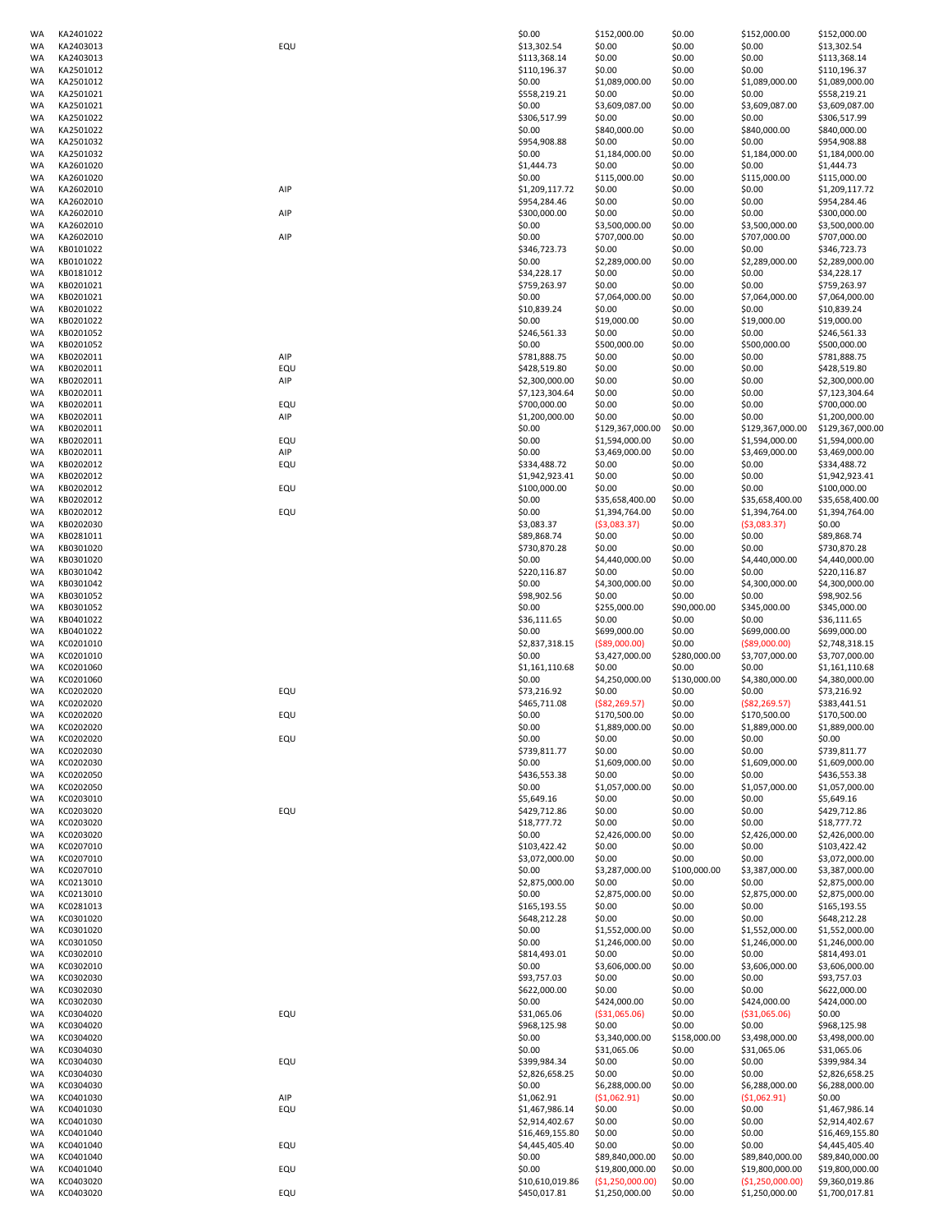| WA              | KA2401022              |     | \$0.00                          | \$152,000.00                       | \$0.00           | \$152,000.00                       | \$152,000.00                     |
|-----------------|------------------------|-----|---------------------------------|------------------------------------|------------------|------------------------------------|----------------------------------|
| WA              | KA2403013              | EQU | \$13,302.54                     | \$0.00                             | \$0.00           | \$0.00                             | \$13,302.54                      |
| WA              | KA2403013              |     | \$113,368.14                    | \$0.00                             | \$0.00           | \$0.00                             | \$113,368.14                     |
| WA              | KA2501012              |     | \$110,196.37                    | \$0.00                             | \$0.00           | \$0.00                             | \$110,196.37                     |
| WA              | KA2501012              |     | \$0.00                          | \$1,089,000.00                     | \$0.00           | \$1,089,000.00                     | \$1,089,000.00                   |
| WA              | KA2501021              |     | \$558,219.21                    | \$0.00                             | \$0.00           | \$0.00                             | \$558,219.21                     |
| WA              | KA2501021              |     | \$0.00                          | \$3,609,087.00                     | \$0.00           | \$3,609,087.00                     | \$3,609,087.00                   |
| WA              | KA2501022              |     | \$306,517.99                    | \$0.00                             | \$0.00           | \$0.00                             | \$306,517.99                     |
|                 |                        |     |                                 |                                    |                  |                                    |                                  |
| WA              | KA2501022              |     | \$0.00                          | \$840,000.00                       | \$0.00           | \$840,000.00                       | \$840,000.00                     |
| <b>WA</b>       | KA2501032              |     | \$954,908.88                    | \$0.00                             | \$0.00           | \$0.00                             | \$954,908.88                     |
| WA              | KA2501032              |     | \$0.00                          | \$1,184,000.00                     | \$0.00           | \$1,184,000.00                     | \$1,184,000.00                   |
| WA              | KA2601020              |     | \$1,444.73                      | \$0.00                             | \$0.00           | \$0.00                             | \$1,444.73                       |
| WA              | KA2601020              |     | \$0.00                          | \$115,000.00                       | \$0.00           | \$115,000.00                       | \$115,000.00                     |
| WA              | KA2602010              | AIP | \$1,209,117.72                  | \$0.00                             | \$0.00           | \$0.00                             | \$1,209,117.72                   |
| <b>WA</b>       | KA2602010              |     | \$954,284.46                    | \$0.00                             | \$0.00           | \$0.00                             | \$954,284.46                     |
| WA              | KA2602010              | AIP | \$300,000.00                    | \$0.00                             | \$0.00           | \$0.00                             | \$300,000.00                     |
| WA              | KA2602010              |     | \$0.00                          | \$3,500,000.00                     | \$0.00           | \$3,500,000.00                     | \$3,500,000.00                   |
| WA              | KA2602010              | AIP | \$0.00                          | \$707,000.00                       | \$0.00           | \$707,000.00                       | \$707,000.00                     |
| WA              | KB0101022              |     | \$346,723.73                    | \$0.00                             | \$0.00           | \$0.00                             | \$346,723.73                     |
| WA              | KB0101022              |     | \$0.00                          | \$2,289,000.00                     | \$0.00           | \$2,289,000.00                     | \$2,289,000.00                   |
|                 |                        |     |                                 |                                    |                  |                                    |                                  |
| WA              | KB0181012              |     | \$34,228.17                     | \$0.00                             | \$0.00           | \$0.00                             | \$34,228.17                      |
| WA              | KB0201021              |     | \$759,263.97                    | \$0.00                             | \$0.00           | \$0.00                             | \$759,263.97                     |
| <b>WA</b>       | KB0201021              |     | \$0.00                          | \$7,064,000.00                     | \$0.00           | \$7,064,000.00                     | \$7,064,000.00                   |
| <b>WA</b>       | KB0201022              |     | \$10,839.24                     | \$0.00                             | \$0.00           | \$0.00                             | \$10,839.24                      |
| WA              | KB0201022              |     | \$0.00                          | \$19,000.00                        | \$0.00           | \$19,000.00                        | \$19,000.00                      |
| WA              | KB0201052              |     | \$246,561.33                    | \$0.00                             | \$0.00           | \$0.00                             | \$246,561.33                     |
| <b>WA</b>       | KB0201052              |     | \$0.00                          | \$500,000.00                       | \$0.00           | \$500,000.00                       | \$500,000.00                     |
| <b>WA</b>       | KB0202011              | AIP | \$781,888.75                    | \$0.00                             | \$0.00           | \$0.00                             | \$781,888.75                     |
| WA              | KB0202011              | EQU | \$428,519.80                    | \$0.00                             | \$0.00           | \$0.00                             | \$428,519.80                     |
| WA              | KB0202011              | AIP | \$2,300,000.00                  | \$0.00                             | \$0.00           | \$0.00                             | \$2,300,000.00                   |
| WA              | KB0202011              |     | \$7,123,304.64                  | \$0.00                             | \$0.00           | \$0.00                             | \$7,123,304.64                   |
| <b>WA</b>       | KB0202011              | EQU | \$700,000.00                    | \$0.00                             | \$0.00           | \$0.00                             | \$700,000.00                     |
|                 |                        | AIP |                                 |                                    |                  |                                    |                                  |
| WA              | KB0202011              |     | \$1,200,000.00                  | \$0.00                             | \$0.00           | \$0.00                             | \$1,200,000.00                   |
| WA              | KB0202011              |     | \$0.00                          | \$129,367,000.00                   | \$0.00           | \$129,367,000.00                   | \$129,367,000.00                 |
| WA              | KB0202011              | EQU | \$0.00                          | \$1,594,000.00                     | \$0.00           | \$1,594,000.00                     | \$1,594,000.00                   |
| WA              | KB0202011              | AIP | \$0.00                          | \$3,469,000.00                     | \$0.00           | \$3,469,000.00                     | \$3,469,000.00                   |
| WA              | KB0202012              | EQU | \$334,488.72                    | \$0.00                             | \$0.00           | \$0.00                             | \$334,488.72                     |
| WA              | KB0202012              |     | \$1,942,923.41                  | \$0.00                             | \$0.00           | \$0.00                             | \$1,942,923.41                   |
| WA              | KB0202012              | EQU | \$100,000.00                    | \$0.00                             | \$0.00           | \$0.00                             | \$100,000.00                     |
| WA              | KB0202012              |     | \$0.00                          | \$35,658,400.00                    | \$0.00           | \$35,658,400.00                    | \$35,658,400.00                  |
| WA              | KB0202012              | EQU | \$0.00                          | \$1,394,764.00                     | \$0.00           | \$1,394,764.00                     | \$1,394,764.00                   |
| WA              | KB0202030              |     | \$3,083.37                      | (53,083.37)                        | \$0.00           | (53,083.37)                        | \$0.00                           |
|                 |                        |     | \$89,868.74                     |                                    |                  |                                    |                                  |
| WA              | KB0281011              |     |                                 | \$0.00                             | \$0.00           | \$0.00                             | \$89,868.74                      |
| <b>WA</b>       | KB0301020              |     | \$730,870.28                    | \$0.00                             | \$0.00           | \$0.00                             | \$730,870.28                     |
| WA              | KB0301020              |     | \$0.00                          | \$4,440,000.00                     | \$0.00           | \$4,440,000.00                     | \$4,440,000.00                   |
| <b>WA</b>       | KB0301042              |     | \$220,116.87                    | \$0.00                             | \$0.00           | \$0.00                             | \$220,116.87                     |
| WA              | KB0301042              |     | \$0.00                          | \$4,300,000.00                     | \$0.00           | \$4,300,000.00                     | \$4,300,000.00                   |
| <b>WA</b>       | KB0301052              |     | \$98,902.56                     | \$0.00                             | \$0.00           | \$0.00                             | \$98,902.56                      |
| WA              | KB0301052              |     | \$0.00                          | \$255,000.00                       | \$90,000.00      | \$345,000.00                       | \$345,000.00                     |
| WA              | KB0401022              |     | \$36,111.65                     | \$0.00                             | \$0.00           | \$0.00                             | \$36,111.65                      |
| WA              | KB0401022              |     | \$0.00                          | \$699,000.00                       | \$0.00           | \$699,000.00                       | \$699,000.00                     |
| <b>WA</b>       | KC0201010              |     | \$2,837,318.15                  | ( \$89,000.00)                     | \$0.00           | ( \$89,000.00)                     | \$2,748,318.15                   |
| <b>WA</b>       | KC0201010              |     | \$0.00                          | \$3,427,000.00                     | \$280,000.00     | \$3,707,000.00                     | \$3,707,000.00                   |
|                 | KC0201060              |     | \$1,161,110.68                  | \$0.00                             | \$0.00           | \$0.00                             |                                  |
| WA              |                        |     |                                 |                                    |                  |                                    | \$1,161,110.68                   |
| WA              | KC0201060              |     | \$0.00                          | \$4,250,000.00                     | \$130,000.00     | \$4,380,000.00                     | \$4,380,000.00                   |
| WA              | KC0202020              | EQU | \$73,216.92                     | \$0.00                             | \$0.00           | \$0.00                             | \$73,216.92                      |
| WA              | KC0202020              |     | \$465,711.08                    | ( \$82, 269.57)                    | \$0.00           | $($ \$82,269.57)                   | \$383,441.51                     |
| WA              | KC0202020              | EQU | \$0.00                          | \$170,500.00                       | \$0.00           | \$170,500.00                       | \$170,500.00                     |
| WA              | KC0202020              |     | \$0.00                          | \$1,889,000.00                     | \$0.00           | \$1,889,000.00                     | \$1,889,000.00                   |
| WA              | KC0202020              | EQU | \$0.00                          | \$0.00                             | \$0.00           | \$0.00                             | \$0.00                           |
| <b>WA</b>       | KC0202030              |     | \$739,811.77                    | \$0.00                             | \$0.00           | \$0.00                             | \$739,811.77                     |
| WA              | KC0202030              |     | \$0.00                          | \$1,609,000.00                     | \$0.00           | \$1,609,000.00                     | \$1,609,000.00                   |
| <b>WA</b>       | KC0202050              |     | \$436,553.38                    | \$0.00                             | \$0.00           | \$0.00                             | \$436,553.38                     |
| WA              | KC0202050              |     | \$0.00                          | \$1,057,000.00                     | \$0.00           | \$1,057,000.00                     | \$1,057,000.00                   |
| <b>WA</b>       | KC0203010              |     | \$5,649.16                      | \$0.00                             | \$0.00           | \$0.00                             | \$5,649.16                       |
| WA              | KC0203020              | EQU | \$429,712.86                    | \$0.00                             | \$0.00           | \$0.00                             | \$429,712.86                     |
| WA              | KC0203020              |     | \$18,777.72                     | \$0.00                             | \$0.00           | \$0.00                             | \$18,777.72                      |
|                 |                        |     |                                 |                                    |                  |                                    |                                  |
| WA              | KC0203020              |     | \$0.00                          | \$2,426,000.00                     | \$0.00           | \$2,426,000.00                     | \$2,426,000.00                   |
| WA              | KC0207010              |     | \$103,422.42                    | \$0.00                             | \$0.00           | \$0.00                             | \$103,422.42                     |
| <b>WA</b>       | KC0207010              |     | \$3,072,000.00                  | \$0.00                             | \$0.00           | \$0.00                             | \$3,072,000.00                   |
| WA              | KC0207010              |     | \$0.00                          | \$3,287,000.00                     | \$100,000.00     | \$3,387,000.00                     | \$3,387,000.00                   |
| WA              | KC0213010              |     | \$2,875,000.00                  | \$0.00                             | \$0.00           | \$0.00                             | \$2,875,000.00                   |
| WA              | KC0213010              |     | \$0.00                          | \$2,875,000.00                     | \$0.00           | \$2,875,000.00                     | \$2,875,000.00                   |
| WA              | KC0281013              |     | \$165,193.55                    | \$0.00                             | \$0.00           | \$0.00                             | \$165,193.55                     |
| WA              | KC0301020              |     | \$648,212.28                    | \$0.00                             | \$0.00           | \$0.00                             | \$648,212.28                     |
| WA              | KC0301020              |     | \$0.00                          | \$1,552,000.00                     | \$0.00           | \$1,552,000.00                     | \$1,552,000.00                   |
| WA              | KC0301050              |     | \$0.00                          | \$1,246,000.00                     | \$0.00           | \$1,246,000.00                     | \$1,246,000.00                   |
| WA              | KC0302010              |     | \$814,493.01                    | \$0.00                             | \$0.00           | \$0.00                             | \$814,493.01                     |
| WA              | KC0302010              |     | \$0.00                          | \$3,606,000.00                     | \$0.00           | \$3,606,000.00                     | \$3,606,000.00                   |
| WA              | KC0302030              |     | \$93,757.03                     | \$0.00                             | \$0.00           | \$0.00                             | \$93,757.03                      |
| WA              | KC0302030              |     | \$622,000.00                    | \$0.00                             | \$0.00           | \$0.00                             | \$622,000.00                     |
| <b>WA</b>       | KC0302030              |     | \$0.00                          | \$424,000.00                       | \$0.00           | \$424,000.00                       | \$424,000.00                     |
| WA              | KC0304020              | EQU | \$31,065.06                     | ( \$31,065.06)                     | \$0.00           | ( \$31,065.06)                     | \$0.00                           |
|                 |                        |     |                                 |                                    |                  |                                    |                                  |
| WA              | KC0304020              |     | \$968,125.98                    | \$0.00                             | \$0.00           | \$0.00                             | \$968,125.98                     |
| WA              | KC0304020              |     | \$0.00                          | \$3,340,000.00                     | \$158,000.00     | \$3,498,000.00                     | \$3,498,000.00                   |
| WA              | KC0304030              |     | \$0.00                          | \$31,065.06                        | \$0.00           | \$31,065.06                        | \$31,065.06                      |
| WA              | KC0304030              | EQU | \$399,984.34                    | \$0.00                             | \$0.00           | \$0.00                             | \$399,984.34                     |
| WA              | KC0304030              |     | \$2,826,658.25                  | \$0.00                             | \$0.00           | \$0.00                             | \$2,826,658.25                   |
| WA              | KC0304030              |     | \$0.00                          | \$6,288,000.00                     | \$0.00           | \$6,288,000.00                     | \$6,288,000.00                   |
| WA              | KC0401030              | AIP | \$1,062.91                      | (51,062.91)                        | \$0.00           | (51,062.91)                        | \$0.00                           |
| WA              | KC0401030              | EQU | \$1,467,986.14                  | \$0.00                             | \$0.00           | \$0.00                             | \$1,467,986.14                   |
| WA              | KC0401030              |     | \$2,914,402.67                  | \$0.00                             | \$0.00           | \$0.00                             | \$2,914,402.67                   |
| WA              | KC0401040              |     | \$16,469,155.80                 | \$0.00                             | \$0.00           | \$0.00                             | \$16,469,155.80                  |
|                 |                        |     |                                 |                                    | \$0.00           | \$0.00                             | \$4,445,405.40                   |
|                 |                        |     |                                 |                                    |                  |                                    |                                  |
| WA              | KC0401040              | EQU | \$4,445,405.40                  | \$0.00                             |                  |                                    |                                  |
| WA              | KC0401040              |     | \$0.00                          | \$89,840,000.00                    | \$0.00           | \$89,840,000.00                    | \$89,840,000.00                  |
| WA              | KC0401040              | EQU | \$0.00                          | \$19,800,000.00                    | \$0.00           | \$19,800,000.00                    | \$19,800,000.00                  |
| WA<br><b>WA</b> | KC0403020<br>KC0403020 | EQU | \$10,610,019.86<br>\$450,017.81 | (\$1,250,000.00)<br>\$1,250,000.00 | \$0.00<br>\$0.00 | (\$1,250,000.00)<br>\$1,250,000.00 | \$9,360,019.86<br>\$1,700,017.81 |